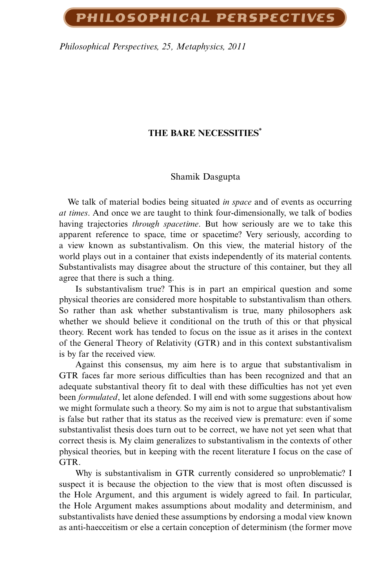# **PHILOSOPHICAL PERSPECTIVES**

*Philosophical Perspectives, 25, Metaphysics, 2011*

# **THE BARE NECESSITIES<sup>∗</sup>**

# Shamik Dasgupta

We talk of material bodies being situated *in space* and of events as occurring *at times*. And once we are taught to think four-dimensionally, we talk of bodies having trajectories *through spacetime*. But how seriously are we to take this apparent reference to space, time or spacetime? Very seriously, according to a view known as substantivalism. On this view, the material history of the world plays out in a container that exists independently of its material contents. Substantivalists may disagree about the structure of this container, but they all agree that there is such a thing.

Is substantivalism true? This is in part an empirical question and some physical theories are considered more hospitable to substantivalism than others. So rather than ask whether substantivalism is true, many philosophers ask whether we should believe it conditional on the truth of this or that physical theory. Recent work has tended to focus on the issue as it arises in the context of the General Theory of Relativity (GTR) and in this context substantivalism is by far the received view.

Against this consensus, my aim here is to argue that substantivalism in GTR faces far more serious difficulties than has been recognized and that an adequate substantival theory fit to deal with these difficulties has not yet even been *formulated*, let alone defended. I will end with some suggestions about how we might formulate such a theory. So my aim is not to argue that substantivalism is false but rather that its status as the received view is premature: even if some substantivalist thesis does turn out to be correct, we have not yet seen what that correct thesis is. My claim generalizes to substantivalism in the contexts of other physical theories, but in keeping with the recent literature I focus on the case of GTR.

Why is substantivalism in GTR currently considered so unproblematic? I suspect it is because the objection to the view that is most often discussed is the Hole Argument, and this argument is widely agreed to fail. In particular, the Hole Argument makes assumptions about modality and determinism, and substantivalists have denied these assumptions by endorsing a modal view known as anti-haecceitism or else a certain conception of determinism (the former move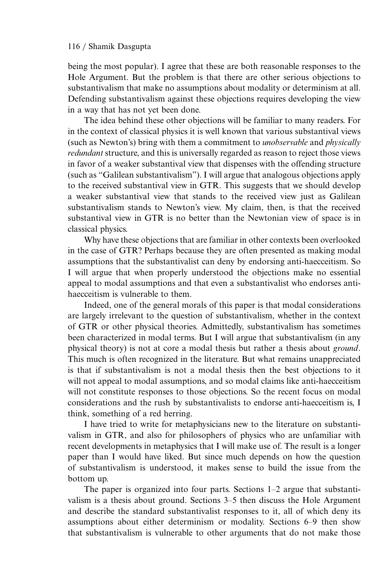being the most popular). I agree that these are both reasonable responses to the Hole Argument. But the problem is that there are other serious objections to substantivalism that make no assumptions about modality or determinism at all. Defending substantivalism against these objections requires developing the view in a way that has not yet been done.

The idea behind these other objections will be familiar to many readers. For in the context of classical physics it is well known that various substantival views (such as Newton's) bring with them a commitment to *unobservable* and *physically redundant* structure, and this is universally regarded as reason to reject those views in favor of a weaker substantival view that dispenses with the offending structure (such as "Galilean substantivalism"). I will argue that analogous objections apply to the received substantival view in GTR. This suggests that we should develop a weaker substantival view that stands to the received view just as Galilean substantivalism stands to Newton's view. My claim, then, is that the received substantival view in GTR is no better than the Newtonian view of space is in classical physics.

Why have these objections that are familiar in other contexts been overlooked in the case of GTR? Perhaps because they are often presented as making modal assumptions that the substantivalist can deny by endorsing anti-haecceitism. So I will argue that when properly understood the objections make no essential appeal to modal assumptions and that even a substantivalist who endorses antihaecceitism is vulnerable to them.

Indeed, one of the general morals of this paper is that modal considerations are largely irrelevant to the question of substantivalism, whether in the context of GTR or other physical theories. Admittedly, substantivalism has sometimes been characterized in modal terms. But I will argue that substantivalism (in any physical theory) is not at core a modal thesis but rather a thesis about *ground*. This much is often recognized in the literature. But what remains unappreciated is that if substantivalism is not a modal thesis then the best objections to it will not appeal to modal assumptions, and so modal claims like anti-haecceitism will not constitute responses to those objections. So the recent focus on modal considerations and the rush by substantivalists to endorse anti-haecceitism is, I think, something of a red herring.

I have tried to write for metaphysicians new to the literature on substantivalism in GTR, and also for philosophers of physics who are unfamiliar with recent developments in metaphysics that I will make use of. The result is a longer paper than I would have liked. But since much depends on how the question of substantivalism is understood, it makes sense to build the issue from the bottom up.

The paper is organized into four parts. Sections 1–2 argue that substantivalism is a thesis about ground. Sections 3–5 then discuss the Hole Argument and describe the standard substantivalist responses to it, all of which deny its assumptions about either determinism or modality. Sections 6–9 then show that substantivalism is vulnerable to other arguments that do not make those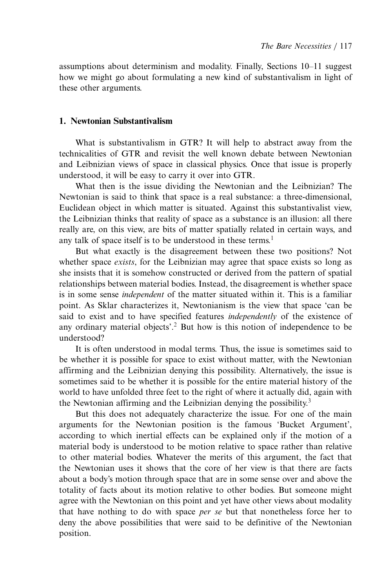assumptions about determinism and modality. Finally, Sections 10–11 suggest how we might go about formulating a new kind of substantivalism in light of these other arguments.

# **1. Newtonian Substantivalism**

What is substantivalism in GTR? It will help to abstract away from the technicalities of GTR and revisit the well known debate between Newtonian and Leibnizian views of space in classical physics. Once that issue is properly understood, it will be easy to carry it over into GTR.

What then is the issue dividing the Newtonian and the Leibnizian? The Newtonian is said to think that space is a real substance: a three-dimensional, Euclidean object in which matter is situated. Against this substantivalist view, the Leibnizian thinks that reality of space as a substance is an illusion: all there really are, on this view, are bits of matter spatially related in certain ways, and any talk of space itself is to be understood in these terms.<sup>1</sup>

But what exactly is the disagreement between these two positions? Not whether space *exists*, for the Leibnizian may agree that space exists so long as she insists that it is somehow constructed or derived from the pattern of spatial relationships between material bodies. Instead, the disagreement is whether space is in some sense *independent* of the matter situated within it. This is a familiar point. As Sklar characterizes it, Newtonianism is the view that space 'can be said to exist and to have specified features *independently* of the existence of any ordinary material objects'.<sup>2</sup> But how is this notion of independence to be understood?

It is often understood in modal terms. Thus, the issue is sometimes said to be whether it is possible for space to exist without matter, with the Newtonian affirming and the Leibnizian denying this possibility. Alternatively, the issue is sometimes said to be whether it is possible for the entire material history of the world to have unfolded three feet to the right of where it actually did, again with the Newtonian affirming and the Leibnizian denying the possibility.3

But this does not adequately characterize the issue. For one of the main arguments for the Newtonian position is the famous 'Bucket Argument', according to which inertial effects can be explained only if the motion of a material body is understood to be motion relative to space rather than relative to other material bodies. Whatever the merits of this argument, the fact that the Newtonian uses it shows that the core of her view is that there are facts about a body's motion through space that are in some sense over and above the totality of facts about its motion relative to other bodies. But someone might agree with the Newtonian on this point and yet have other views about modality that have nothing to do with space *per se* but that nonetheless force her to deny the above possibilities that were said to be definitive of the Newtonian position.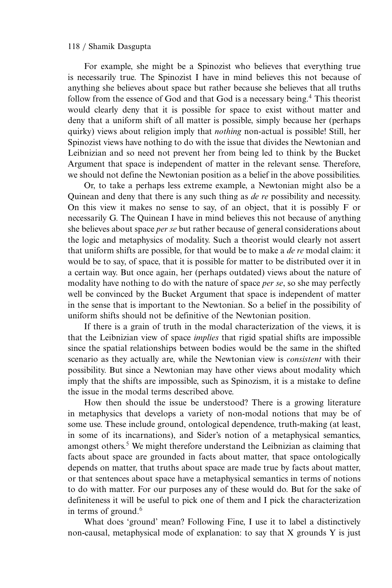For example, she might be a Spinozist who believes that everything true is necessarily true. The Spinozist I have in mind believes this not because of anything she believes about space but rather because she believes that all truths follow from the essence of God and that God is a necessary being.<sup>4</sup> This theorist would clearly deny that it is possible for space to exist without matter and deny that a uniform shift of all matter is possible, simply because her (perhaps quirky) views about religion imply that *nothing* non-actual is possible! Still, her Spinozist views have nothing to do with the issue that divides the Newtonian and Leibnizian and so need not prevent her from being led to think by the Bucket Argument that space is independent of matter in the relevant sense. Therefore, we should not define the Newtonian position as a belief in the above possibilities.

Or, to take a perhaps less extreme example, a Newtonian might also be a Quinean and deny that there is any such thing as *de re* possibility and necessity. On this view it makes no sense to say, of an object, that it is possibly F or necessarily G. The Quinean I have in mind believes this not because of anything she believes about space *per se* but rather because of general considerations about the logic and metaphysics of modality. Such a theorist would clearly not assert that uniform shifts are possible, for that would be to make a *de re* modal claim: it would be to say, of space, that it is possible for matter to be distributed over it in a certain way. But once again, her (perhaps outdated) views about the nature of modality have nothing to do with the nature of space *per se*, so she may perfectly well be convinced by the Bucket Argument that space is independent of matter in the sense that is important to the Newtonian. So a belief in the possibility of uniform shifts should not be definitive of the Newtonian position.

If there is a grain of truth in the modal characterization of the views, it is that the Leibnizian view of space *implies* that rigid spatial shifts are impossible since the spatial relationships between bodies would be the same in the shifted scenario as they actually are, while the Newtonian view is *consistent* with their possibility. But since a Newtonian may have other views about modality which imply that the shifts are impossible, such as Spinozism, it is a mistake to define the issue in the modal terms described above.

How then should the issue be understood? There is a growing literature in metaphysics that develops a variety of non-modal notions that may be of some use. These include ground, ontological dependence, truth-making (at least, in some of its incarnations), and Sider's notion of a metaphysical semantics, amongst others.<sup>5</sup> We might therefore understand the Leibnizian as claiming that facts about space are grounded in facts about matter, that space ontologically depends on matter, that truths about space are made true by facts about matter, or that sentences about space have a metaphysical semantics in terms of notions to do with matter. For our purposes any of these would do. But for the sake of definiteness it will be useful to pick one of them and I pick the characterization in terms of ground. $6$ 

What does 'ground' mean? Following Fine, I use it to label a distinctively non-causal, metaphysical mode of explanation: to say that X grounds Y is just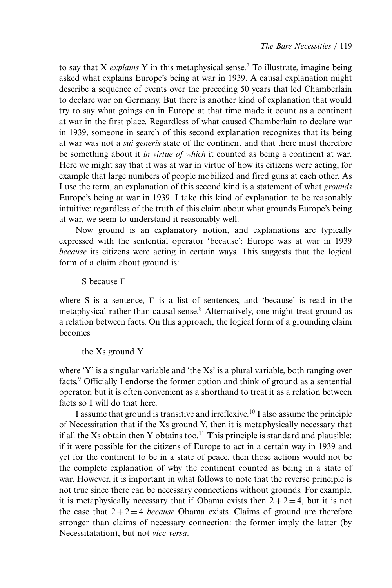to say that X *explains* Y in this metaphysical sense.<sup>7</sup> To illustrate, imagine being asked what explains Europe's being at war in 1939. A causal explanation might describe a sequence of events over the preceding 50 years that led Chamberlain to declare war on Germany. But there is another kind of explanation that would try to say what goings on in Europe at that time made it count as a continent at war in the first place. Regardless of what caused Chamberlain to declare war in 1939, someone in search of this second explanation recognizes that its being at war was not a *sui generis* state of the continent and that there must therefore be something about it *in virtue of which* it counted as being a continent at war. Here we might say that it was at war in virtue of how its citizens were acting, for example that large numbers of people mobilized and fired guns at each other. As I use the term, an explanation of this second kind is a statement of what *grounds* Europe's being at war in 1939. I take this kind of explanation to be reasonably intuitive: regardless of the truth of this claim about what grounds Europe's being at war, we seem to understand it reasonably well.

Now ground is an explanatory notion, and explanations are typically expressed with the sentential operator 'because': Europe was at war in 1939 *because* its citizens were acting in certain ways. This suggests that the logical form of a claim about ground is:

 $S$  because  $\Gamma$ 

where S is a sentence,  $\Gamma$  is a list of sentences, and 'because' is read in the metaphysical rather than causal sense.<sup>8</sup> Alternatively, one might treat ground as a relation between facts. On this approach, the logical form of a grounding claim becomes

the Xs ground Y

where 'Y' is a singular variable and 'the Xs' is a plural variable, both ranging over facts.9 Officially I endorse the former option and think of ground as a sentential operator, but it is often convenient as a shorthand to treat it as a relation between facts so I will do that here.

I assume that ground is transitive and irreflexive.<sup>10</sup> I also assume the principle of Necessitation that if the Xs ground Y, then it is metaphysically necessary that if all the Xs obtain then Y obtains too.<sup>11</sup> This principle is standard and plausible: if it were possible for the citizens of Europe to act in a certain way in 1939 and yet for the continent to be in a state of peace, then those actions would not be the complete explanation of why the continent counted as being in a state of war. However, it is important in what follows to note that the reverse principle is not true since there can be necessary connections without grounds. For example, it is metaphysically necessary that if Obama exists then  $2 + 2 = 4$ , but it is not the case that  $2+2=4$  *because* Obama exists. Claims of ground are therefore stronger than claims of necessary connection: the former imply the latter (by Necessitatation), but not *vice-versa*.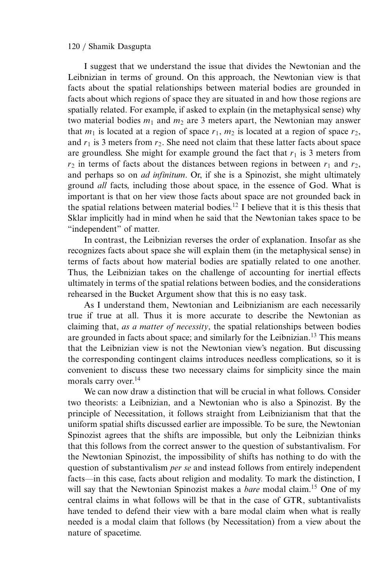I suggest that we understand the issue that divides the Newtonian and the Leibnizian in terms of ground. On this approach, the Newtonian view is that facts about the spatial relationships between material bodies are grounded in facts about which regions of space they are situated in and how those regions are spatially related. For example, if asked to explain (in the metaphysical sense) why two material bodies  $m_1$  and  $m_2$  are 3 meters apart, the Newtonian may answer that  $m_1$  is located at a region of space  $r_1$ ,  $m_2$  is located at a region of space  $r_2$ , and  $r_1$  is 3 meters from  $r_2$ . She need not claim that these latter facts about space are groundless. She might for example ground the fact that  $r_1$  is 3 meters from  $r_2$  in terms of facts about the distances between regions in between  $r_1$  and  $r_2$ , and perhaps so on *ad infinitum*. Or, if she is a Spinozist, she might ultimately ground *all* facts, including those about space, in the essence of God. What is important is that on her view those facts about space are not grounded back in the spatial relations between material bodies.<sup>12</sup> I believe that it is this thesis that Sklar implicitly had in mind when he said that the Newtonian takes space to be "independent" of matter.

In contrast, the Leibnizian reverses the order of explanation. Insofar as she recognizes facts about space she will explain them (in the metaphysical sense) in terms of facts about how material bodies are spatially related to one another. Thus, the Leibnizian takes on the challenge of accounting for inertial effects ultimately in terms of the spatial relations between bodies, and the considerations rehearsed in the Bucket Argument show that this is no easy task.

As I understand them, Newtonian and Leibnizianism are each necessarily true if true at all. Thus it is more accurate to describe the Newtonian as claiming that, *as a matter of necessity*, the spatial relationships between bodies are grounded in facts about space; and similarly for the Leibnizian.<sup>13</sup> This means that the Leibnizian view is not the Newtonian view's negation. But discussing the corresponding contingent claims introduces needless complications, so it is convenient to discuss these two necessary claims for simplicity since the main morals carry over.<sup>14</sup>

We can now draw a distinction that will be crucial in what follows. Consider two theorists: a Leibnizian, and a Newtonian who is also a Spinozist. By the principle of Necessitation, it follows straight from Leibnizianism that that the uniform spatial shifts discussed earlier are impossible. To be sure, the Newtonian Spinozist agrees that the shifts are impossible, but only the Leibnizian thinks that this follows from the correct answer to the question of substantivalism. For the Newtonian Spinozist, the impossibility of shifts has nothing to do with the question of substantivalism *per se* and instead follows from entirely independent facts—in this case, facts about religion and modality. To mark the distinction, I will say that the Newtonian Spinozist makes a *bare* modal claim.<sup>15</sup> One of my central claims in what follows will be that in the case of GTR, subtantivalists have tended to defend their view with a bare modal claim when what is really needed is a modal claim that follows (by Necessitation) from a view about the nature of spacetime.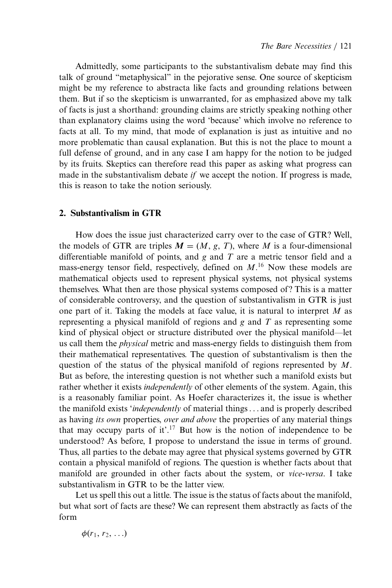Admittedly, some participants to the substantivalism debate may find this talk of ground "metaphysical" in the pejorative sense. One source of skepticism might be my reference to abstracta like facts and grounding relations between them. But if so the skepticism is unwarranted, for as emphasized above my talk of facts is just a shorthand: grounding claims are strictly speaking nothing other than explanatory claims using the word 'because' which involve no reference to facts at all. To my mind, that mode of explanation is just as intuitive and no more problematic than causal explanation. But this is not the place to mount a full defense of ground, and in any case I am happy for the notion to be judged by its fruits. Skeptics can therefore read this paper as asking what progress can made in the substantivalism debate *if* we accept the notion. If progress is made, this is reason to take the notion seriously.

# **2. Substantivalism in GTR**

How does the issue just characterized carry over to the case of GTR? Well, the models of GTR are triples  $M = (M, g, T)$ , where M is a four-dimensional differentiable manifold of points, and *g* and *T* are a metric tensor field and a mass-energy tensor field, respectively, defined on *M*. <sup>16</sup> Now these models are mathematical objects used to represent physical systems, not physical systems themselves. What then are those physical systems composed of ? This is a matter of considerable controversy, and the question of substantivalism in GTR is just one part of it. Taking the models at face value, it is natural to interpret *M* as representing a physical manifold of regions and *g* and *T* as representing some kind of physical object or structure distributed over the physical manifold—let us call them the *physical* metric and mass-energy fields to distinguish them from their mathematical representatives. The question of substantivalism is then the question of the status of the physical manifold of regions represented by *M*. But as before, the interesting question is not whether such a manifold exists but rather whether it exists *independently* of other elements of the system. Again, this is a reasonably familiar point. As Hoefer characterizes it, the issue is whether the manifold exists '*independently* of material things... and is properly described as having *its own* properties, *over and above* the properties of any material things that may occupy parts of it'.<sup>17</sup> But how is the notion of independence to be understood? As before, I propose to understand the issue in terms of ground. Thus, all parties to the debate may agree that physical systems governed by GTR contain a physical manifold of regions. The question is whether facts about that manifold are grounded in other facts about the system, or *vice-versa*. I take substantivalism in GTR to be the latter view.

Let us spell this out a little. The issue is the status of facts about the manifold, but what sort of facts are these? We can represent them abstractly as facts of the form

 $\phi(r_1, r_2, ...)$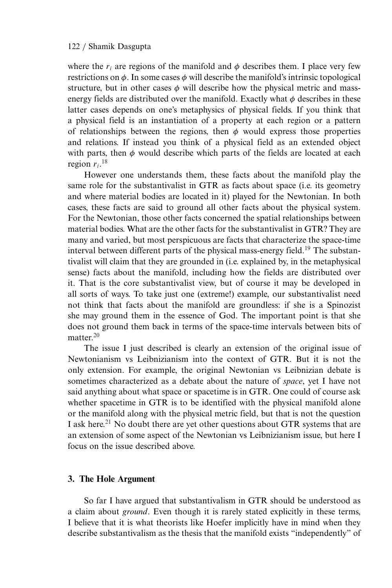where the  $r_i$  are regions of the manifold and  $\phi$  describes them. I place very few restrictions on  $\phi$ . In some cases  $\phi$  will describe the manifold's intrinsic topological structure, but in other cases  $\phi$  will describe how the physical metric and massenergy fields are distributed over the manifold. Exactly what  $\phi$  describes in these latter cases depends on one's metaphysics of physical fields. If you think that a physical field is an instantiation of a property at each region or a pattern of relationships between the regions, then  $\phi$  would express those properties and relations. If instead you think of a physical field as an extended object with parts, then  $\phi$  would describe which parts of the fields are located at each region  $r_i$ .<sup>18</sup>

However one understands them, these facts about the manifold play the same role for the substantivalist in GTR as facts about space (i.e. its geometry and where material bodies are located in it) played for the Newtonian. In both cases, these facts are said to ground all other facts about the physical system. For the Newtonian, those other facts concerned the spatial relationships between material bodies. What are the other facts for the substantivalist in GTR? They are many and varied, but most perspicuous are facts that characterize the space-time interval between different parts of the physical mass-energy field.<sup>19</sup> The substantivalist will claim that they are grounded in (i.e. explained by, in the metaphysical sense) facts about the manifold, including how the fields are distributed over it. That is the core substantivalist view, but of course it may be developed in all sorts of ways. To take just one (extreme!) example, our substantivalist need not think that facts about the manifold are groundless: if she is a Spinozist she may ground them in the essence of God. The important point is that she does not ground them back in terms of the space-time intervals between bits of matter.<sup>20</sup>

The issue I just described is clearly an extension of the original issue of Newtonianism vs Leibnizianism into the context of GTR. But it is not the only extension. For example, the original Newtonian vs Leibnizian debate is sometimes characterized as a debate about the nature of *space*, yet I have not said anything about what space or spacetime is in GTR. One could of course ask whether spacetime in GTR is to be identified with the physical manifold alone or the manifold along with the physical metric field, but that is not the question I ask here.<sup>21</sup> No doubt there are yet other questions about GTR systems that are an extension of some aspect of the Newtonian vs Leibnizianism issue, but here I focus on the issue described above.

## **3. The Hole Argument**

So far I have argued that substantivalism in GTR should be understood as a claim about *ground*. Even though it is rarely stated explicitly in these terms, I believe that it is what theorists like Hoefer implicitly have in mind when they describe substantivalism as the thesis that the manifold exists "independently" of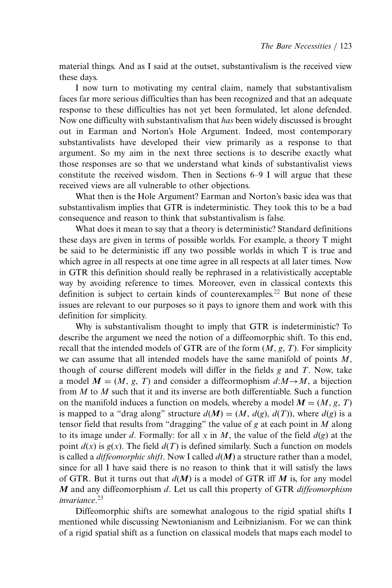material things. And as I said at the outset, substantivalism is the received view these days.

I now turn to motivating my central claim, namely that substantivalism faces far more serious difficulties than has been recognized and that an adequate response to these difficulties has not yet been formulated, let alone defended. Now one difficulty with substantivalism that *has* been widely discussed is brought out in Earman and Norton's Hole Argument. Indeed, most contemporary substantivalists have developed their view primarily as a response to that argument. So my aim in the next three sections is to describe exactly what those responses are so that we understand what kinds of substantivalist views constitute the received wisdom. Then in Sections 6–9 I will argue that these received views are all vulnerable to other objections.

What then is the Hole Argument? Earman and Norton's basic idea was that substantivalism implies that GTR is indeterministic. They took this to be a bad consequence and reason to think that substantivalism is false.

What does it mean to say that a theory is deterministic? Standard definitions these days are given in terms of possible worlds. For example, a theory T might be said to be deterministic iff any two possible worlds in which T is true and which agree in all respects at one time agree in all respects at all later times. Now in GTR this definition should really be rephrased in a relativistically acceptable way by avoiding reference to times. Moreover, even in classical contexts this definition is subject to certain kinds of counterexamples.<sup>22</sup> But none of these issues are relevant to our purposes so it pays to ignore them and work with this definition for simplicity.

Why is substantivalism thought to imply that GTR is indeterministic? To describe the argument we need the notion of a diffeomorphic shift. To this end, recall that the intended models of GTR are of the form (*M*, *g*, *T*). For simplicity we can assume that all intended models have the same manifold of points *M*, though of course different models will differ in the fields *g* and *T*. Now, take a model  $M = (M, g, T)$  and consider a diffeormophism  $d:M \rightarrow M$ , a bijection from *M* to *M* such that it and its inverse are both differentiable. Such a function on the manifold induces a function on models, whereby a model  $M = (M, g, T)$ is mapped to a "drag along" structure  $d(M) = (M, d(g), d(T))$ , where  $d(g)$  is a tensor field that results from "dragging" the value of *g* at each point in *M* along to its image under *d*. Formally: for all  $x$  in  $M$ , the value of the field  $d(g)$  at the point  $d(x)$  is  $g(x)$ . The field  $d(T)$  is defined similarly. Such a function on models is called a *diffeomorphic shift*. Now I called *d*(*M*) a structure rather than a model, since for all I have said there is no reason to think that it will satisfy the laws of GTR. But it turns out that *d*(*M*) is a model of GTR iff *M* is, for any model *M* and any diffeomorphism *d*. Let us call this property of GTR *diffeomorphism invariance*. 23

Diffeomorphic shifts are somewhat analogous to the rigid spatial shifts I mentioned while discussing Newtonianism and Leibnizianism. For we can think of a rigid spatial shift as a function on classical models that maps each model to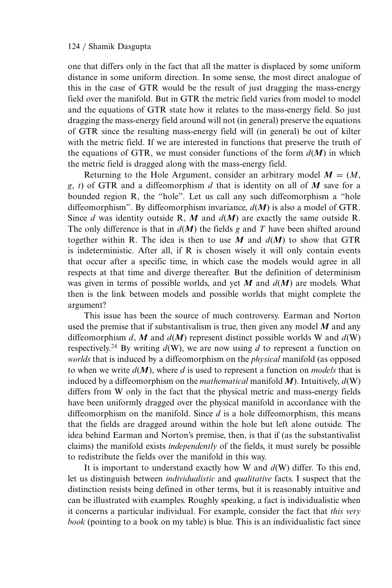one that differs only in the fact that all the matter is displaced by some uniform distance in some uniform direction. In some sense, the most direct analogue of this in the case of GTR would be the result of just dragging the mass-energy field over the manifold. But in GTR the metric field varies from model to model and the equations of GTR state how it relates to the mass-energy field. So just dragging the mass-energy field around will not (in general) preserve the equations of GTR since the resulting mass-energy field will (in general) be out of kilter with the metric field. If we are interested in functions that preserve the truth of the equations of GTR, we must consider functions of the form  $d(M)$  in which the metric field is dragged along with the mass-energy field.

Returning to the Hole Argument, consider an arbitrary model  $M = (M,$ *g*, *t*) of GTR and a diffeomorphism *d* that is identity on all of *M* save for a bounded region R, the "hole". Let us call any such diffeomorphism a "hole diffeomorphism". By diffeomorphism invariance, *d*(*M*) is also a model of GTR. Since *d* was identity outside R, *M* and *d*(*M*) are exactly the same outside R. The only difference is that in  $d(M)$  the fields *g* and *T* have been shifted around together within R. The idea is then to use  $M$  and  $d(M)$  to show that GTR is indeterministic. After all, if R is chosen wisely it will only contain events that occur after a specific time, in which case the models would agree in all respects at that time and diverge thereafter. But the definition of determinism was given in terms of possible worlds, and yet *M* and *d*(*M*) are models. What then is the link between models and possible worlds that might complete the argument?

This issue has been the source of much controversy. Earman and Norton used the premise that if substantivalism is true, then given any model *M* and any diffeomorphism *d*, *M* and *d*(*M*) represent distinct possible worlds W and *d*(W) respectively.<sup>24</sup> By writing  $d(W)$ , we are now using d to represent a function on *worlds* that is induced by a diffeomorphism on the *physical* manifold (as opposed to when we write  $d(M)$ , where  $d$  is used to represent a function on *models* that is induced by a diffeomorphism on the *mathematical* manifold *M*). Intuitively, *d*(W) differs from W only in the fact that the physical metric and mass-energy fields have been uniformly dragged over the physical manifold in accordance with the diffeomorphism on the manifold. Since *d* is a hole diffeomorphism, this means that the fields are dragged around within the hole but left alone outside. The idea behind Earman and Norton's premise, then, is that if (as the substantivalist claims) the manifold exists *independently* of the fields, it must surely be possible to redistribute the fields over the manifold in this way.

It is important to understand exactly how W and *d*(W) differ. To this end, let us distinguish between *individualistic* and *qualitative* facts. I suspect that the distinction resists being defined in other terms, but it is reasonably intuitive and can be illustrated with examples. Roughly speaking, a fact is individualistic when it concerns a particular individual. For example, consider the fact that *this very book* (pointing to a book on my table) is blue. This is an individualistic fact since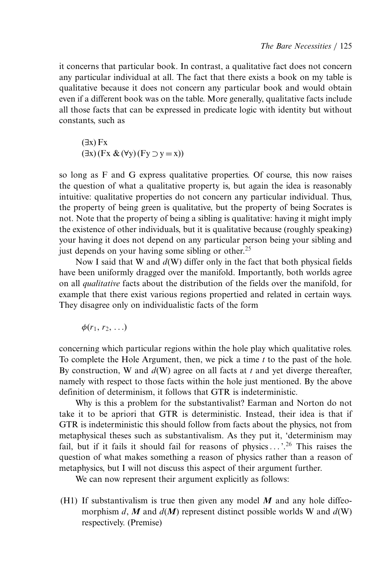it concerns that particular book. In contrast, a qualitative fact does not concern any particular individual at all. The fact that there exists a book on my table is qualitative because it does not concern any particular book and would obtain even if a different book was on the table. More generally, qualitative facts include all those facts that can be expressed in predicate logic with identity but without constants, such as

 $(\exists x)$  Fx  $(\exists x)(Fx & (\forall y)(Fy \supset y = x))$ 

so long as F and G express qualitative properties. Of course, this now raises the question of what a qualitative property is, but again the idea is reasonably intuitive: qualitative properties do not concern any particular individual. Thus, the property of being green is qualitative, but the property of being Socrates is not. Note that the property of being a sibling is qualitative: having it might imply the existence of other individuals, but it is qualitative because (roughly speaking) your having it does not depend on any particular person being your sibling and just depends on your having some sibling or other.<sup>25</sup>

Now I said that W and *d*(W) differ only in the fact that both physical fields have been uniformly dragged over the manifold. Importantly, both worlds agree on all *qualitative* facts about the distribution of the fields over the manifold, for example that there exist various regions propertied and related in certain ways. They disagree only on individualistic facts of the form

 $\phi(r_1, r_2, ...)$ 

concerning which particular regions within the hole play which qualitative roles. To complete the Hole Argument, then, we pick a time *t* to the past of the hole. By construction, W and *d*(W) agree on all facts at *t* and yet diverge thereafter, namely with respect to those facts within the hole just mentioned. By the above definition of determinism, it follows that GTR is indeterministic.

Why is this a problem for the substantivalist? Earman and Norton do not take it to be apriori that GTR is deterministic. Instead, their idea is that if GTR is indeterministic this should follow from facts about the physics, not from metaphysical theses such as substantivalism. As they put it, 'determinism may fail, but if it fails it should fail for reasons of physics...  $\cdot^{26}$  This raises the question of what makes something a reason of physics rather than a reason of metaphysics, but I will not discuss this aspect of their argument further.

We can now represent their argument explicitly as follows:

(H1) If substantivalism is true then given any model  $M$  and any hole diffeomorphism  $d$ ,  $M$  and  $d(M)$  represent distinct possible worlds W and  $d(W)$ respectively. (Premise)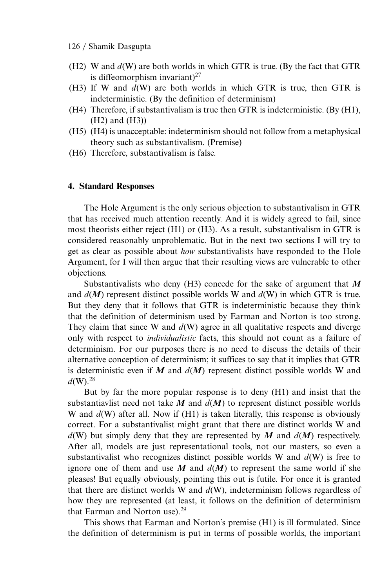126 / Shamik Dasgupta

- (H2) W and *d*(W) are both worlds in which GTR is true. (By the fact that GTR is diffeomorphism invariant) $27$
- (H3) If W and  $d(W)$  are both worlds in which GTR is true, then GTR is indeterministic. (By the definition of determinism)
- (H4) Therefore, if substantivalism is true then GTR is indeterministic. (By (H1), (H2) and (H3))
- (H5) (H4) is unacceptable: indeterminism should not follow from a metaphysical theory such as substantivalism. (Premise)
- (H6) Therefore, substantivalism is false.

# **4. Standard Responses**

The Hole Argument is the only serious objection to substantivalism in GTR that has received much attention recently. And it is widely agreed to fail, since most theorists either reject (H1) or (H3). As a result, substantivalism in GTR is considered reasonably unproblematic. But in the next two sections I will try to get as clear as possible about *how* substantivalists have responded to the Hole Argument, for I will then argue that their resulting views are vulnerable to other objections.

Substantivalists who deny (H3) concede for the sake of argument that *M* and  $d(M)$  represent distinct possible worlds W and  $d(W)$  in which GTR is true. But they deny that it follows that GTR is indeterministic because they think that the definition of determinism used by Earman and Norton is too strong. They claim that since W and  $d(W)$  agree in all qualitative respects and diverge only with respect to *individualistic* facts, this should not count as a failure of determinism. For our purposes there is no need to discuss the details of their alternative conception of determinism; it suffices to say that it implies that GTR is deterministic even if  $M$  and  $d(M)$  represent distinct possible worlds W and  $d(W)$ <sup>28</sup>

But by far the more popular response is to deny (H1) and insist that the substantiavlist need not take  $M$  and  $d(M)$  to represent distinct possible worlds W and  $d(W)$  after all. Now if (H1) is taken literally, this response is obviously correct. For a substantivalist might grant that there are distinct worlds W and *d*(W) but simply deny that they are represented by *M* and *d*(*M*) respectively. After all, models are just representational tools, not our masters, so even a substantivalist who recognizes distinct possible worlds W and  $d(W)$  is free to ignore one of them and use  $M$  and  $d(M)$  to represent the same world if she pleases! But equally obviously, pointing this out is futile. For once it is granted that there are distinct worlds W and *d*(W), indeterminism follows regardless of how they are represented (at least, it follows on the definition of determinism that Earman and Norton use).29

This shows that Earman and Norton's premise (H1) is ill formulated. Since the definition of determinism is put in terms of possible worlds, the important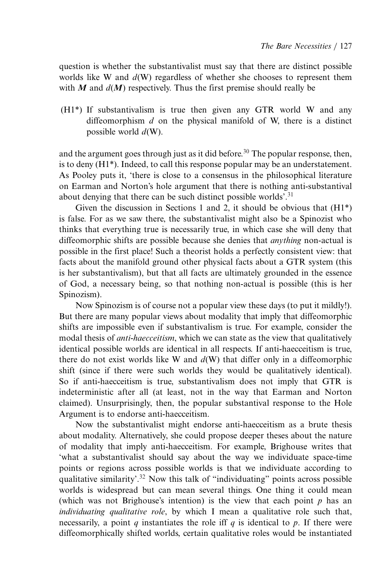question is whether the substantivalist must say that there are distinct possible worlds like W and *d*(W) regardless of whether she chooses to represent them with  $M$  and  $d(M)$  respectively. Thus the first premise should really be

 $(H1*)$  If substantivalism is true then given any GTR world W and any diffeomorphism *d* on the physical manifold of W, there is a distinct possible world *d*(W).

and the argument goes through just as it did before.<sup>30</sup> The popular response, then, is to deny (H1\*). Indeed, to call this response popular may be an understatement. As Pooley puts it, 'there is close to a consensus in the philosophical literature on Earman and Norton's hole argument that there is nothing anti-substantival about denying that there can be such distinct possible worlds'.<sup>31</sup>

Given the discussion in Sections 1 and 2, it should be obvious that  $(H1^*)$ is false. For as we saw there, the substantivalist might also be a Spinozist who thinks that everything true is necessarily true, in which case she will deny that diffeomorphic shifts are possible because she denies that *anything* non-actual is possible in the first place! Such a theorist holds a perfectly consistent view: that facts about the manifold ground other physical facts about a GTR system (this is her substantivalism), but that all facts are ultimately grounded in the essence of God, a necessary being, so that nothing non-actual is possible (this is her Spinozism).

Now Spinozism is of course not a popular view these days (to put it mildly!). But there are many popular views about modality that imply that diffeomorphic shifts are impossible even if substantivalism is true. For example, consider the modal thesis of *anti-haecceitism*, which we can state as the view that qualitatively identical possible worlds are identical in all respects. If anti-haecceitism is true, there do not exist worlds like W and *d*(W) that differ only in a diffeomorphic shift (since if there were such worlds they would be qualitatively identical). So if anti-haecceitism is true, substantivalism does not imply that GTR is indeterministic after all (at least, not in the way that Earman and Norton claimed). Unsurprisingly, then, the popular substantival response to the Hole Argument is to endorse anti-haecceitism.

Now the substantivalist might endorse anti-haecceitism as a brute thesis about modality. Alternatively, she could propose deeper theses about the nature of modality that imply anti-haecceitism. For example, Brighouse writes that 'what a substantivalist should say about the way we individuate space-time points or regions across possible worlds is that we individuate according to qualitative similarity'.<sup>32</sup> Now this talk of "individuating" points across possible worlds is widespread but can mean several things. One thing it could mean (which was not Brighouse's intention) is the view that each point *p* has an *individuating qualitative role*, by which I mean a qualitative role such that, necessarily, a point *q* instantiates the role iff *q* is identical to *p*. If there were diffeomorphically shifted worlds, certain qualitative roles would be instantiated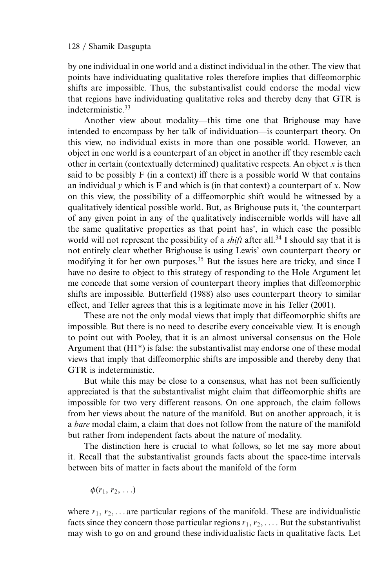by one individual in one world and a distinct individual in the other. The view that points have individuating qualitative roles therefore implies that diffeomorphic shifts are impossible. Thus, the substantivalist could endorse the modal view that regions have individuating qualitative roles and thereby deny that GTR is indeterministic.33

Another view about modality—this time one that Brighouse may have intended to encompass by her talk of individuation—is counterpart theory. On this view, no individual exists in more than one possible world. However, an object in one world is a counterpart of an object in another iff they resemble each other in certain (contextually determined) qualitative respects. An object *x* is then said to be possibly  $F$  (in a context) iff there is a possible world W that contains an individual  $\gamma$  which is F and which is (in that context) a counterpart of  $\chi$ . Now on this view, the possibility of a diffeomorphic shift would be witnessed by a qualitatively identical possible world. But, as Brighouse puts it, 'the counterpart of any given point in any of the qualitatively indiscernible worlds will have all the same qualitative properties as that point has', in which case the possible world will not represent the possibility of a *shift* after all.<sup>34</sup> I should say that it is not entirely clear whether Brighouse is using Lewis' own counterpart theory or modifying it for her own purposes.<sup>35</sup> But the issues here are tricky, and since I have no desire to object to this strategy of responding to the Hole Argument let me concede that some version of counterpart theory implies that diffeomorphic shifts are impossible. Butterfield (1988) also uses counterpart theory to similar effect, and Teller agrees that this is a legitimate move in his Teller (2001).

These are not the only modal views that imply that diffeomorphic shifts are impossible. But there is no need to describe every conceivable view. It is enough to point out with Pooley, that it is an almost universal consensus on the Hole Argument that  $(H1*)$  is false: the substantivalist may endorse one of these modal views that imply that diffeomorphic shifts are impossible and thereby deny that GTR is indeterministic.

But while this may be close to a consensus, what has not been sufficiently appreciated is that the substantivalist might claim that diffeomorphic shifts are impossible for two very different reasons. On one approach, the claim follows from her views about the nature of the manifold. But on another approach, it is a *bare* modal claim, a claim that does not follow from the nature of the manifold but rather from independent facts about the nature of modality.

The distinction here is crucial to what follows, so let me say more about it. Recall that the substantivalist grounds facts about the space-time intervals between bits of matter in facts about the manifold of the form

 $\phi(r_1, r_2, ...)$ 

where  $r_1, r_2, \ldots$  are particular regions of the manifold. These are individualistic facts since they concern those particular regions  $r_1, r_2, \ldots$  But the substantivalist may wish to go on and ground these individualistic facts in qualitative facts. Let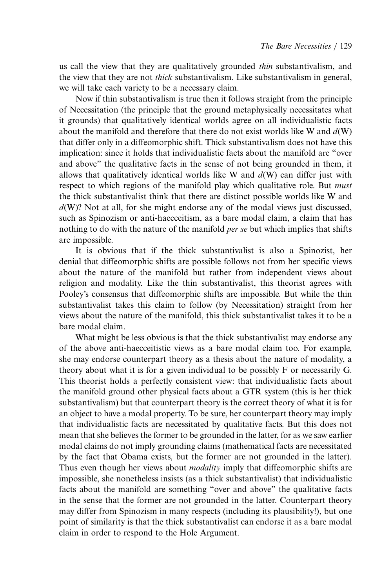us call the view that they are qualitatively grounded *thin* substantivalism, and the view that they are not *thick* substantivalism. Like substantivalism in general, we will take each variety to be a necessary claim.

Now if thin substantivalism is true then it follows straight from the principle of Necessitation (the principle that the ground metaphysically necessitates what it grounds) that qualitatively identical worlds agree on all individualistic facts about the manifold and therefore that there do not exist worlds like W and *d*(W) that differ only in a diffeomorphic shift. Thick substantivalism does not have this implication: since it holds that individualistic facts about the manifold are "over and above" the qualitative facts in the sense of not being grounded in them, it allows that qualitatively identical worlds like W and *d*(W) can differ just with respect to which regions of the manifold play which qualitative role. But *must* the thick substantivalist think that there are distinct possible worlds like W and *d*(W)? Not at all, for she might endorse any of the modal views just discussed, such as Spinozism or anti-haecceitism, as a bare modal claim, a claim that has nothing to do with the nature of the manifold *per se* but which implies that shifts are impossible.

It is obvious that if the thick substantivalist is also a Spinozist, her denial that diffeomorphic shifts are possible follows not from her specific views about the nature of the manifold but rather from independent views about religion and modality. Like the thin substantivalist, this theorist agrees with Pooley's consensus that diffeomorphic shifts are impossible. But while the thin substantivalist takes this claim to follow (by Necessitation) straight from her views about the nature of the manifold, this thick substantivalist takes it to be a bare modal claim.

What might be less obvious is that the thick substantivalist may endorse any of the above anti-haecceitistic views as a bare modal claim too. For example, she may endorse counterpart theory as a thesis about the nature of modality, a theory about what it is for a given individual to be possibly F or necessarily G. This theorist holds a perfectly consistent view: that individualistic facts about the manifold ground other physical facts about a GTR system (this is her thick substantivalism) but that counterpart theory is the correct theory of what it is for an object to have a modal property. To be sure, her counterpart theory may imply that individualistic facts are necessitated by qualitative facts. But this does not mean that she believes the former to be grounded in the latter, for as we saw earlier modal claims do not imply grounding claims (mathematical facts are necessitated by the fact that Obama exists, but the former are not grounded in the latter). Thus even though her views about *modality* imply that diffeomorphic shifts are impossible, she nonetheless insists (as a thick substantivalist) that individualistic facts about the manifold are something "over and above" the qualitative facts in the sense that the former are not grounded in the latter. Counterpart theory may differ from Spinozism in many respects (including its plausibility!), but one point of similarity is that the thick substantivalist can endorse it as a bare modal claim in order to respond to the Hole Argument.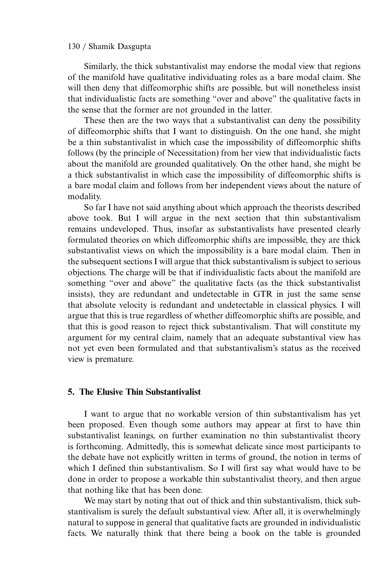Similarly, the thick substantivalist may endorse the modal view that regions of the manifold have qualitative individuating roles as a bare modal claim. She will then deny that diffeomorphic shifts are possible, but will nonetheless insist that individualistic facts are something "over and above" the qualitative facts in the sense that the former are not grounded in the latter.

These then are the two ways that a substantivalist can deny the possibility of diffeomorphic shifts that I want to distinguish. On the one hand, she might be a thin substantivalist in which case the impossibility of diffeomorphic shifts follows (by the principle of Necessitation) from her view that individualistic facts about the manifold are grounded qualitatively. On the other hand, she might be a thick substantivalist in which case the impossibility of diffeomorphic shifts is a bare modal claim and follows from her independent views about the nature of modality.

So far I have not said anything about which approach the theorists described above took. But I will argue in the next section that thin substantivalism remains undeveloped. Thus, insofar as substantivalists have presented clearly formulated theories on which diffeomorphic shifts are impossible, they are thick substantivalist views on which the impossibility is a bare modal claim. Then in the subsequent sections I will argue that thick substantivalism is subject to serious objections. The charge will be that if individualistic facts about the manifold are something "over and above" the qualitative facts (as the thick substantivalist insists), they are redundant and undetectable in GTR in just the same sense that absolute velocity is redundant and undetectable in classical physics. I will argue that this is true regardless of whether diffeomorphic shifts are possible, and that this is good reason to reject thick substantivalism. That will constitute my argument for my central claim, namely that an adequate substantival view has not yet even been formulated and that substantivalism's status as the received view is premature.

## **5. The Elusive Thin Substantivalist**

I want to argue that no workable version of thin substantivalism has yet been proposed. Even though some authors may appear at first to have thin substantivalist leanings, on further examination no thin substantivalist theory is forthcoming. Admittedly, this is somewhat delicate since most participants to the debate have not explicitly written in terms of ground, the notion in terms of which I defined thin substantivalism. So I will first say what would have to be done in order to propose a workable thin substantivalist theory, and then argue that nothing like that has been done.

We may start by noting that out of thick and thin substantivalism, thick substantivalism is surely the default substantival view. After all, it is overwhelmingly natural to suppose in general that qualitative facts are grounded in individualistic facts. We naturally think that there being a book on the table is grounded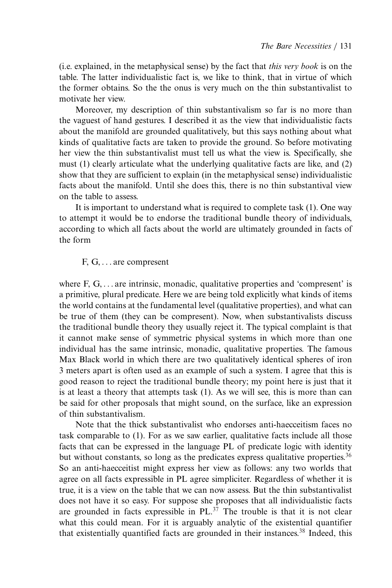(i.e. explained, in the metaphysical sense) by the fact that *this very book* is on the table. The latter individualistic fact is, we like to think, that in virtue of which the former obtains. So the the onus is very much on the thin substantivalist to motivate her view.

Moreover, my description of thin substantivalism so far is no more than the vaguest of hand gestures. I described it as the view that individualistic facts about the manifold are grounded qualitatively, but this says nothing about what kinds of qualitative facts are taken to provide the ground. So before motivating her view the thin substantivalist must tell us what the view is. Specifically, she must (1) clearly articulate what the underlying qualitative facts are like, and (2) show that they are sufficient to explain (in the metaphysical sense) individualistic facts about the manifold. Until she does this, there is no thin substantival view on the table to assess.

It is important to understand what is required to complete task (1). One way to attempt it would be to endorse the traditional bundle theory of individuals, according to which all facts about the world are ultimately grounded in facts of the form

# F, G, ... are compresent

where  $F, G, \ldots$  are intrinsic, monadic, qualitative properties and 'compresent' is a primitive, plural predicate. Here we are being told explicitly what kinds of items the world contains at the fundamental level (qualitative properties), and what can be true of them (they can be compresent). Now, when substantivalists discuss the traditional bundle theory they usually reject it. The typical complaint is that it cannot make sense of symmetric physical systems in which more than one individual has the same intrinsic, monadic, qualitative properties. The famous Max Black world in which there are two qualitatively identical spheres of iron 3 meters apart is often used as an example of such a system. I agree that this is good reason to reject the traditional bundle theory; my point here is just that it is at least a theory that attempts task (1). As we will see, this is more than can be said for other proposals that might sound, on the surface, like an expression of thin substantivalism.

Note that the thick substantivalist who endorses anti-haecceitism faces no task comparable to (1). For as we saw earlier, qualitative facts include all those facts that can be expressed in the language PL of predicate logic with identity but without constants, so long as the predicates express qualitative properties.<sup>36</sup> So an anti-haecceitist might express her view as follows: any two worlds that agree on all facts expressible in PL agree simpliciter. Regardless of whether it is true, it is a view on the table that we can now assess. But the thin substantivalist does not have it so easy. For suppose she proposes that all individualistic facts are grounded in facts expressible in  $PL^{37}$  The trouble is that it is not clear what this could mean. For it is arguably analytic of the existential quantifier that existentially quantified facts are grounded in their instances.<sup>38</sup> Indeed, this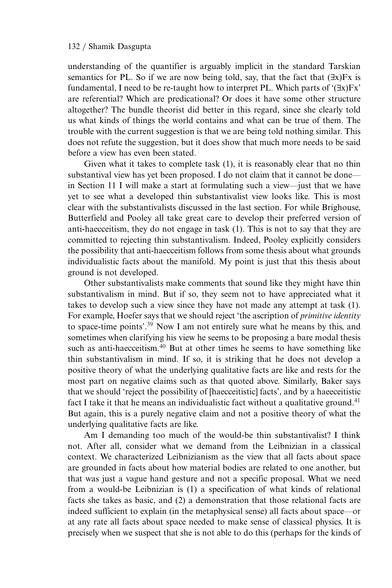understanding of the quantifier is arguably implicit in the standard Tarskian semantics for PL. So if we are now being told, say, that the fact that  $(\exists x)Fx$  is fundamental, I need to be re-taught how to interpret PL. Which parts of '(∃x)Fx' are referential? Which are predicational? Or does it have some other structure altogether? The bundle theorist did better in this regard, since she clearly told us what kinds of things the world contains and what can be true of them. The trouble with the current suggestion is that we are being told nothing similar. This does not refute the suggestion, but it does show that much more needs to be said before a view has even been stated.

Given what it takes to complete task (1), it is reasonably clear that no thin substantival view has yet been proposed. I do not claim that it cannot be done in Section 11 I will make a start at formulating such a view—just that we have yet to see what a developed thin substantivalist view looks like. This is most clear with the substantivalists discussed in the last section. For while Brighouse, Butterfield and Pooley all take great care to develop their preferred version of anti-haecceitism, they do not engage in task (1). This is not to say that they are committed to rejecting thin substantivalism. Indeed, Pooley explicitly considers the possibility that anti-haecceitism follows from some thesis about what grounds individualistic facts about the manifold. My point is just that this thesis about ground is not developed.

Other substantivalists make comments that sound like they might have thin substantivalism in mind. But if so, they seem not to have appreciated what it takes to develop such a view since they have not made any attempt at task (1). For example, Hoefer says that we should reject 'the ascription of *primitive identity* to space-time points'.<sup>39</sup> Now I am not entirely sure what he means by this, and sometimes when clarifying his view he seems to be proposing a bare modal thesis such as anti-haecceitism. $40$  But at other times he seems to have something like thin substantivalism in mind. If so, it is striking that he does not develop a positive theory of what the underlying qualitative facts are like and rests for the most part on negative claims such as that quoted above. Similarly, Baker says that we should 'reject the possibility of [haecceitistic] facts', and by a haeeceitistic fact I take it that he means an individualistic fact without a qualitative ground.<sup>41</sup> But again, this is a purely negative claim and not a positive theory of what the underlying qualitative facts are like.

Am I demanding too much of the would-be thin substantivalist? I think not. After all, consider what we demand from the Leibnizian in a classical context. We characterized Leibnizianism as the view that all facts about space are grounded in facts about how material bodies are related to one another, but that was just a vague hand gesture and not a specific proposal. What we need from a would-be Leibnizian is (1) a specification of what kinds of relational facts she takes as basic, and (2) a demonstration that those relational facts are indeed sufficient to explain (in the metaphysical sense) all facts about space—or at any rate all facts about space needed to make sense of classical physics. It is precisely when we suspect that she is not able to do this (perhaps for the kinds of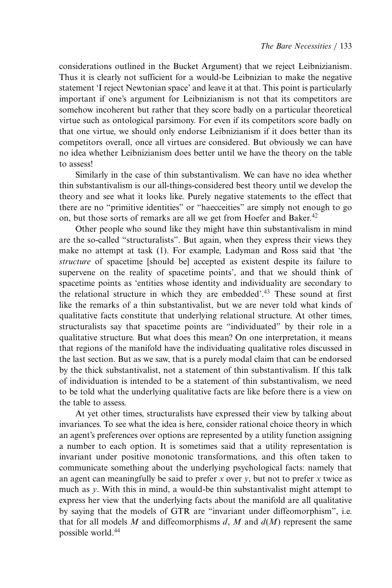considerations outlined in the Bucket Argument) that we reject Leibnizianism. Thus it is clearly not sufficient for a would-be Leibnizian to make the negative statement 'I reject Newtonian space' and leave it at that. This point is particularly important if one's argument for Leibnizianism is not that its competitors are somehow incoherent but rather that they score badly on a particular theoretical virtue such as ontological parsimony. For even if its competitors score badly on that one virtue, we should only endorse Leibnizianism if it does better than its competitors overall, once all virtues are considered. But obviously we can have no idea whether Leibnizianism does better until we have the theory on the table to assess!

Similarly in the case of thin substantivalism. We can have no idea whether thin substantivalism is our all-things-considered best theory until we develop the theory and see what it looks like. Purely negative statements to the effect that there are no "primitive identities" or "haecceities" are simply not enough to go on, but those sorts of remarks are all we get from Hoefer and Baker.<sup>42</sup>

Other people who sound like they might have thin substantivalism in mind are the so-called "structuralists". But again, when they express their views they make no attempt at task (1). For example, Ladyman and Ross said that 'the *structure* of spacetime [should be] accepted as existent despite its failure to supervene on the reality of spacetime points', and that we should think of spacetime points as 'entities whose identity and individuality are secondary to the relational structure in which they are embedded'.<sup>43</sup> These sound at first like the remarks of a thin substantivalist, but we are never told what kinds of qualitative facts constitute that underlying relational structure. At other times, structuralists say that spacetime points are "individuated" by their role in a qualitative structure. But what does this mean? On one interpretation, it means that regions of the manifold have the individuating qualitative roles discussed in the last section. But as we saw, that is a purely modal claim that can be endorsed by the thick substantivalist, not a statement of thin substantivalism. If this talk of individuation is intended to be a statement of thin substantivalism, we need to be told what the underlying qualitative facts are like before there is a view on the table to assess.

At yet other times, structuralists have expressed their view by talking about invariances. To see what the idea is here, consider rational choice theory in which an agent's preferences over options are represented by a utility function assigning a number to each option. It is sometimes said that a utility representation is invariant under positive monotonic transformations, and this often taken to communicate something about the underlying psychological facts: namely that an agent can meaningfully be said to prefer  $x$  over  $y$ , but not to prefer  $x$  twice as much as *y*. With this in mind, a would-be thin substantivalist might attempt to express her view that the underlying facts about the manifold are all qualitative by saying that the models of GTR are "invariant under diffeomorphism", i.e. that for all models *M* and diffeomorphisms  $d$ , *M* and  $d(M)$  represent the same possible world.<sup>44</sup>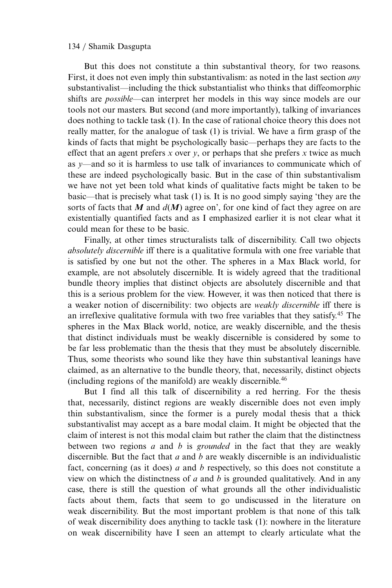But this does not constitute a thin substantival theory, for two reasons. First, it does not even imply thin substantivalism: as noted in the last section *any* substantivalist—including the thick substantialist who thinks that diffeomorphic shifts are *possible*—can interpret her models in this way since models are our tools not our masters. But second (and more importantly), talking of invariances does nothing to tackle task (1). In the case of rational choice theory this does not really matter, for the analogue of task (1) is trivial. We have a firm grasp of the kinds of facts that might be psychologically basic—perhaps they are facts to the effect that an agent prefers  $x$  over  $y$ , or perhaps that she prefers  $x$  twice as much as *y*—and so it is harmless to use talk of invariances to communicate which of these are indeed psychologically basic. But in the case of thin substantivalism we have not yet been told what kinds of qualitative facts might be taken to be basic—that is precisely what task (1) is. It is no good simply saying 'they are the sorts of facts that  $M$  and  $d(M)$  agree on', for one kind of fact they agree on are existentially quantified facts and as I emphasized earlier it is not clear what it could mean for these to be basic.

Finally, at other times structuralists talk of discernibility. Call two objects *absolutely discernible* iff there is a qualitative formula with one free variable that is satisfied by one but not the other. The spheres in a Max Black world, for example, are not absolutely discernible. It is widely agreed that the traditional bundle theory implies that distinct objects are absolutely discernible and that this is a serious problem for the view. However, it was then noticed that there is a weaker notion of discernibility: two objects are *weakly discernible* iff there is an irreflexive qualitative formula with two free variables that they satisfy.<sup>45</sup> The spheres in the Max Black world, notice, are weakly discernible, and the thesis that distinct individuals must be weakly discernible is considered by some to be far less problematic than the thesis that they must be absolutely discernible. Thus, some theorists who sound like they have thin substantival leanings have claimed, as an alternative to the bundle theory, that, necessarily, distinct objects (including regions of the manifold) are weakly discernible.<sup>46</sup>

But I find all this talk of discernibility a red herring. For the thesis that, necessarily, distinct regions are weakly discernible does not even imply thin substantivalism, since the former is a purely modal thesis that a thick substantivalist may accept as a bare modal claim. It might be objected that the claim of interest is not this modal claim but rather the claim that the distinctness between two regions *a* and *b* is *grounded* in the fact that they are weakly discernible. But the fact that *a* and *b* are weakly discernible is an individualistic fact, concerning (as it does) *a* and *b* respectively, so this does not constitute a view on which the distinctness of *a* and *b* is grounded qualitatively. And in any case, there is still the question of what grounds all the other individualistic facts about them, facts that seem to go undiscussed in the literature on weak discernibility. But the most important problem is that none of this talk of weak discernibility does anything to tackle task (1): nowhere in the literature on weak discernibility have I seen an attempt to clearly articulate what the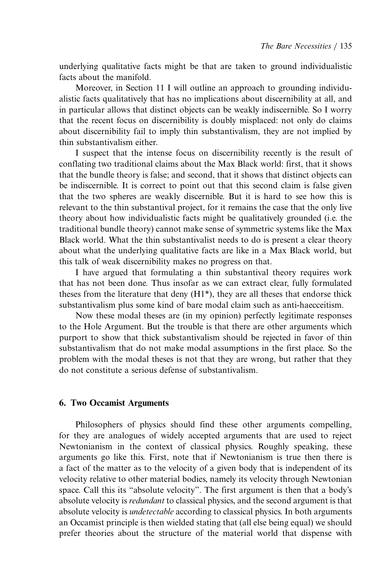underlying qualitative facts might be that are taken to ground individualistic facts about the manifold.

Moreover, in Section 11 I will outline an approach to grounding individualistic facts qualitatively that has no implications about discernibility at all, and in particular allows that distinct objects can be weakly indiscernible. So I worry that the recent focus on discernibility is doubly misplaced: not only do claims about discernibility fail to imply thin substantivalism, they are not implied by thin substantivalism either.

I suspect that the intense focus on discernibility recently is the result of conflating two traditional claims about the Max Black world: first, that it shows that the bundle theory is false; and second, that it shows that distinct objects can be indiscernible. It is correct to point out that this second claim is false given that the two spheres are weakly discernible. But it is hard to see how this is relevant to the thin substantival project, for it remains the case that the only live theory about how individualistic facts might be qualitatively grounded (i.e. the traditional bundle theory) cannot make sense of symmetric systems like the Max Black world. What the thin substantivalist needs to do is present a clear theory about what the underlying qualitative facts are like in a Max Black world, but this talk of weak discernibility makes no progress on that.

I have argued that formulating a thin substantival theory requires work that has not been done. Thus insofar as we can extract clear, fully formulated theses from the literature that deny (H1\*), they are all theses that endorse thick substantivalism plus some kind of bare modal claim such as anti-haecceitism.

Now these modal theses are (in my opinion) perfectly legitimate responses to the Hole Argument. But the trouble is that there are other arguments which purport to show that thick substantivalism should be rejected in favor of thin substantivalism that do not make modal assumptions in the first place. So the problem with the modal theses is not that they are wrong, but rather that they do not constitute a serious defense of substantivalism.

#### **6. Two Occamist Arguments**

Philosophers of physics should find these other arguments compelling, for they are analogues of widely accepted arguments that are used to reject Newtonianism in the context of classical physics. Roughly speaking, these arguments go like this. First, note that if Newtonianism is true then there is a fact of the matter as to the velocity of a given body that is independent of its velocity relative to other material bodies, namely its velocity through Newtonian space. Call this its "absolute velocity". The first argument is then that a body's absolute velocity is *redundant* to classical physics, and the second argument is that absolute velocity is *undetectable* according to classical physics. In both arguments an Occamist principle is then wielded stating that (all else being equal) we should prefer theories about the structure of the material world that dispense with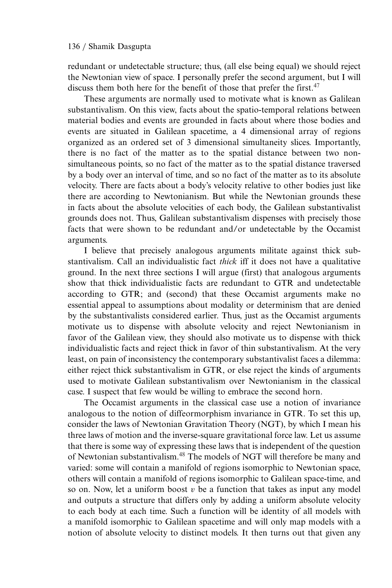redundant or undetectable structure; thus, (all else being equal) we should reject the Newtonian view of space. I personally prefer the second argument, but I will discuss them both here for the benefit of those that prefer the first. $47$ 

These arguments are normally used to motivate what is known as Galilean substantivalism. On this view, facts about the spatio-temporal relations between material bodies and events are grounded in facts about where those bodies and events are situated in Galilean spacetime, a 4 dimensional array of regions organized as an ordered set of 3 dimensional simultaneity slices. Importantly, there is no fact of the matter as to the spatial distance between two nonsimultaneous points, so no fact of the matter as to the spatial distance traversed by a body over an interval of time, and so no fact of the matter as to its absolute velocity. There are facts about a body's velocity relative to other bodies just like there are according to Newtonianism. But while the Newtonian grounds these in facts about the absolute velocities of each body, the Galilean substantivalist grounds does not. Thus, Galilean substantivalism dispenses with precisely those facts that were shown to be redundant and/or undetectable by the Occamist arguments.

I believe that precisely analogous arguments militate against thick substantivalism. Call an individualistic fact *thick* iff it does not have a qualitative ground. In the next three sections I will argue (first) that analogous arguments show that thick individualistic facts are redundant to GTR and undetectable according to GTR; and (second) that these Occamist arguments make no essential appeal to assumptions about modality or determinism that are denied by the substantivalists considered earlier. Thus, just as the Occamist arguments motivate us to dispense with absolute velocity and reject Newtonianism in favor of the Galilean view, they should also motivate us to dispense with thick individualistic facts and reject thick in favor of thin substantivalism. At the very least, on pain of inconsistency the contemporary substantivalist faces a dilemma: either reject thick substantivalism in GTR, or else reject the kinds of arguments used to motivate Galilean substantivalism over Newtonianism in the classical case. I suspect that few would be willing to embrace the second horn.

The Occamist arguments in the classical case use a notion of invariance analogous to the notion of diffeormorphism invariance in GTR. To set this up, consider the laws of Newtonian Gravitation Theory (NGT), by which I mean his three laws of motion and the inverse-square gravitational force law. Let us assume that there is some way of expressing these laws that is independent of the question of Newtonian substantivalism.<sup>48</sup> The models of NGT will therefore be many and varied: some will contain a manifold of regions isomorphic to Newtonian space, others will contain a manifold of regions isomorphic to Galilean space-time, and so on. Now, let a uniform boost  $v$  be a function that takes as input any model and outputs a structure that differs only by adding a uniform absolute velocity to each body at each time. Such a function will be identity of all models with a manifold isomorphic to Galilean spacetime and will only map models with a notion of absolute velocity to distinct models. It then turns out that given any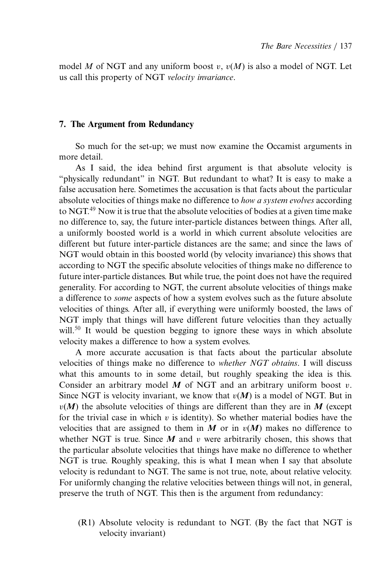model *M* of NGT and any uniform boost  $v$ ,  $v(M)$  is also a model of NGT. Let us call this property of NGT *velocity invariance*.

# **7. The Argument from Redundancy**

So much for the set-up; we must now examine the Occamist arguments in more detail.

As I said, the idea behind first argument is that absolute velocity is "physically redundant" in NGT. But redundant to what? It is easy to make a false accusation here. Sometimes the accusation is that facts about the particular absolute velocities of things make no difference to *how a system evolves* according to NGT.<sup>49</sup> Now it is true that the absolute velocities of bodies at a given time make no difference to, say, the future inter-particle distances between things. After all, a uniformly boosted world is a world in which current absolute velocities are different but future inter-particle distances are the same; and since the laws of NGT would obtain in this boosted world (by velocity invariance) this shows that according to NGT the specific absolute velocities of things make no difference to future inter-particle distances. But while true, the point does not have the required generality. For according to NGT, the current absolute velocities of things make a difference to *some* aspects of how a system evolves such as the future absolute velocities of things. After all, if everything were uniformly boosted, the laws of NGT imply that things will have different future velocities than they actually will.<sup>50</sup> It would be question begging to ignore these ways in which absolute velocity makes a difference to how a system evolves.

A more accurate accusation is that facts about the particular absolute velocities of things make no difference to *whether NGT obtains*. I will discuss what this amounts to in some detail, but roughly speaking the idea is this. Consider an arbitrary model *M* of NGT and an arbitrary uniform boost v. Since NGT is velocity invariant, we know that  $v(M)$  is a model of NGT. But in  $v(M)$  the absolute velocities of things are different than they are in M (except for the trivial case in which  $v$  is identity). So whether material bodies have the velocities that are assigned to them in  $M$  or in  $v(M)$  makes no difference to whether NGT is true. Since  $M$  and  $v$  were arbitrarily chosen, this shows that the particular absolute velocities that things have make no difference to whether NGT is true. Roughly speaking, this is what I mean when I say that absolute velocity is redundant to NGT. The same is not true, note, about relative velocity. For uniformly changing the relative velocities between things will not, in general, preserve the truth of NGT. This then is the argument from redundancy:

(R1) Absolute velocity is redundant to NGT. (By the fact that NGT is velocity invariant)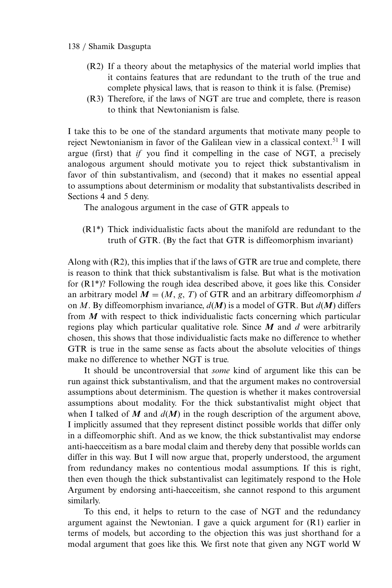- (R2) If a theory about the metaphysics of the material world implies that it contains features that are redundant to the truth of the true and complete physical laws, that is reason to think it is false. (Premise)
- (R3) Therefore, if the laws of NGT are true and complete, there is reason to think that Newtonianism is false.

I take this to be one of the standard arguments that motivate many people to reject Newtonianism in favor of the Galilean view in a classical context.<sup>51</sup> I will argue (first) that *if* you find it compelling in the case of NGT, a precisely analogous argument should motivate you to reject thick substantivalism in favor of thin substantivalism, and (second) that it makes no essential appeal to assumptions about determinism or modality that substantivalists described in Sections 4 and 5 deny.

The analogous argument in the case of GTR appeals to

(R1\*) Thick individualistic facts about the manifold are redundant to the truth of GTR. (By the fact that GTR is diffeomorphism invariant)

Along with  $(R2)$ , this implies that if the laws of GTR are true and complete, there is reason to think that thick substantivalism is false. But what is the motivation for (R1\*)? Following the rough idea described above, it goes like this. Consider an arbitrary model  $M = (M, g, T)$  of GTR and an arbitrary diffeomorphism  $d$ on *M*. By diffeomorphism invariance,  $d(M)$  is a model of GTR. But  $d(M)$  differs from *M* with respect to thick individualistic facts concerning which particular regions play which particular qualitative role. Since *M* and *d* were arbitrarily chosen, this shows that those individualistic facts make no difference to whether GTR is true in the same sense as facts about the absolute velocities of things make no difference to whether NGT is true.

It should be uncontroversial that *some* kind of argument like this can be run against thick substantivalism, and that the argument makes no controversial assumptions about determinism. The question is whether it makes controversial assumptions about modality. For the thick substantivalist might object that when I talked of  $M$  and  $d(M)$  in the rough description of the argument above, I implicitly assumed that they represent distinct possible worlds that differ only in a diffeomorphic shift. And as we know, the thick substantivalist may endorse anti-haecceitism as a bare modal claim and thereby deny that possible worlds can differ in this way. But I will now argue that, properly understood, the argument from redundancy makes no contentious modal assumptions. If this is right, then even though the thick substantivalist can legitimately respond to the Hole Argument by endorsing anti-haecceitism, she cannot respond to this argument similarly.

To this end, it helps to return to the case of NGT and the redundancy argument against the Newtonian. I gave a quick argument for (R1) earlier in terms of models, but according to the objection this was just shorthand for a modal argument that goes like this. We first note that given any NGT world W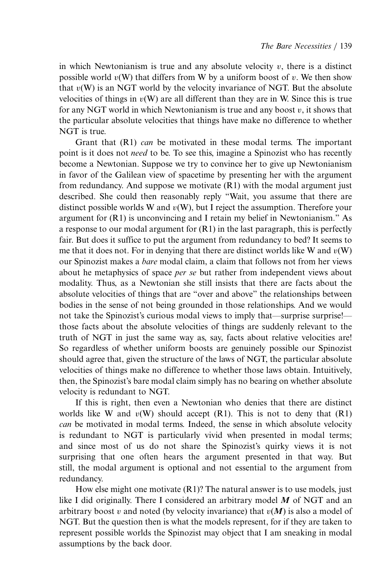in which Newtonianism is true and any absolute velocity  $v$ , there is a distinct possible world  $v(W)$  that differs from W by a uniform boost of v. We then show that  $v(W)$  is an NGT world by the velocity invariance of NGT. But the absolute velocities of things in  $v(W)$  are all different than they are in W. Since this is true for any NGT world in which Newtonianism is true and any boost  $v$ , it shows that the particular absolute velocities that things have make no difference to whether NGT is true.

Grant that (R1) *can* be motivated in these modal terms. The important point is it does not *need* to be. To see this, imagine a Spinozist who has recently become a Newtonian. Suppose we try to convince her to give up Newtonianism in favor of the Galilean view of spacetime by presenting her with the argument from redundancy. And suppose we motivate (R1) with the modal argument just described. She could then reasonably reply "Wait, you assume that there are distinct possible worlds W and  $v(W)$ , but I reject the assumption. Therefore your argument for  $(R1)$  is unconvincing and I retain my belief in Newtonianism." As a response to our modal argument for  $(R1)$  in the last paragraph, this is perfectly fair. But does it suffice to put the argument from redundancy to bed? It seems to me that it does not. For in denying that there are distinct worlds like W and  $v(W)$ our Spinozist makes a *bare* modal claim, a claim that follows not from her views about he metaphysics of space *per se* but rather from independent views about modality. Thus, as a Newtonian she still insists that there are facts about the absolute velocities of things that are "over and above" the relationships between bodies in the sense of not being grounded in those relationships. And we would not take the Spinozist's curious modal views to imply that—surprise surprise! those facts about the absolute velocities of things are suddenly relevant to the truth of NGT in just the same way as, say, facts about relative velocities are! So regardless of whether uniform boosts are genuinely possible our Spinozist should agree that, given the structure of the laws of NGT, the particular absolute velocities of things make no difference to whether those laws obtain. Intuitively, then, the Spinozist's bare modal claim simply has no bearing on whether absolute velocity is redundant to NGT.

If this is right, then even a Newtonian who denies that there are distinct worlds like W and  $v(W)$  should accept (R1). This is not to deny that (R1) *can* be motivated in modal terms. Indeed, the sense in which absolute velocity is redundant to NGT is particularly vivid when presented in modal terms; and since most of us do not share the Spinozist's quirky views it is not surprising that one often hears the argument presented in that way. But still, the modal argument is optional and not essential to the argument from redundancy.

How else might one motivate  $(R1)$ ? The natural answer is to use models, just like I did originally. There I considered an arbitrary model *M* of NGT and an arbitrary boost v and noted (by velocity invariance) that  $v(M)$  is also a model of NGT. But the question then is what the models represent, for if they are taken to represent possible worlds the Spinozist may object that I am sneaking in modal assumptions by the back door.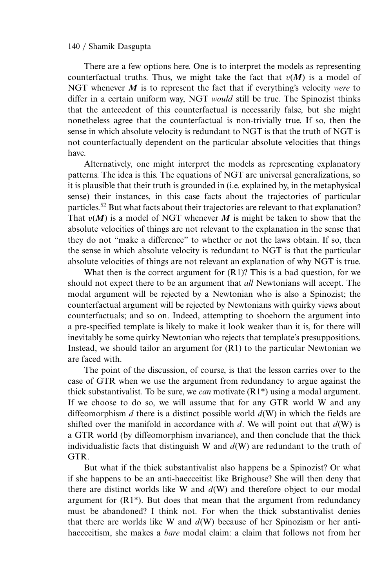There are a few options here. One is to interpret the models as representing counterfactual truths. Thus, we might take the fact that  $v(M)$  is a model of NGT whenever *M* is to represent the fact that if everything's velocity *were* to differ in a certain uniform way, NGT *would* still be true. The Spinozist thinks that the antecedent of this counterfactual is necessarily false, but she might nonetheless agree that the counterfactual is non-trivially true. If so, then the sense in which absolute velocity is redundant to NGT is that the truth of NGT is not counterfactually dependent on the particular absolute velocities that things have.

Alternatively, one might interpret the models as representing explanatory patterns. The idea is this. The equations of NGT are universal generalizations, so it is plausible that their truth is grounded in (i.e. explained by, in the metaphysical sense) their instances, in this case facts about the trajectories of particular particles.<sup>52</sup> But what facts about their trajectories are relevant to that explanation? That  $v(M)$  is a model of NGT whenever M is might be taken to show that the absolute velocities of things are not relevant to the explanation in the sense that they do not "make a difference" to whether or not the laws obtain. If so, then the sense in which absolute velocity is redundant to NGT is that the particular absolute velocities of things are not relevant an explanation of why NGT is true.

What then is the correct argument for  $(R1)$ ? This is a bad question, for we should not expect there to be an argument that *all* Newtonians will accept. The modal argument will be rejected by a Newtonian who is also a Spinozist; the counterfactual argument will be rejected by Newtonians with quirky views about counterfactuals; and so on. Indeed, attempting to shoehorn the argument into a pre-specified template is likely to make it look weaker than it is, for there will inevitably be some quirky Newtonian who rejects that template's presuppositions. Instead, we should tailor an argument for (R1) to the particular Newtonian we are faced with.

The point of the discussion, of course, is that the lesson carries over to the case of GTR when we use the argument from redundancy to argue against the thick substantivalist. To be sure, we *can* motivate (R1\*) using a modal argument. If we choose to do so, we will assume that for any GTR world W and any diffeomorphism *d* there is a distinct possible world *d*(W) in which the fields are shifted over the manifold in accordance with *d*. We will point out that *d*(W) is a GTR world (by diffeomorphism invariance), and then conclude that the thick individualistic facts that distinguish W and *d*(W) are redundant to the truth of GTR.

But what if the thick substantivalist also happens be a Spinozist? Or what if she happens to be an anti-haecceitist like Brighouse? She will then deny that there are distinct worlds like W and *d*(W) and therefore object to our modal argument for  $(R1^*)$ . But does that mean that the argument from redundancy must be abandoned? I think not. For when the thick substantivalist denies that there are worlds like W and *d*(W) because of her Spinozism or her antihaecceitism, she makes a *bare* modal claim: a claim that follows not from her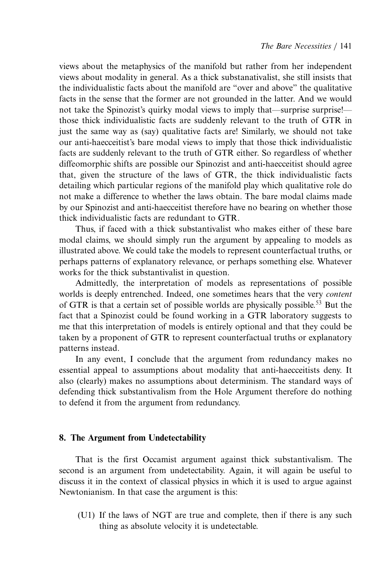views about the metaphysics of the manifold but rather from her independent views about modality in general. As a thick substanativalist, she still insists that the individualistic facts about the manifold are "over and above" the qualitative facts in the sense that the former are not grounded in the latter. And we would not take the Spinozist's quirky modal views to imply that—surprise surprise! those thick individualistic facts are suddenly relevant to the truth of GTR in just the same way as (say) qualitative facts are! Similarly, we should not take our anti-haecceitist's bare modal views to imply that those thick individualistic facts are suddenly relevant to the truth of GTR either. So regardless of whether diffeomorphic shifts are possible our Spinozist and anti-haecceitist should agree that, given the structure of the laws of GTR, the thick individualistic facts detailing which particular regions of the manifold play which qualitative role do not make a difference to whether the laws obtain. The bare modal claims made by our Spinozist and anti-haecceitist therefore have no bearing on whether those thick individualistic facts are redundant to GTR.

Thus, if faced with a thick substantivalist who makes either of these bare modal claims, we should simply run the argument by appealing to models as illustrated above. We could take the models to represent counterfactual truths, or perhaps patterns of explanatory relevance, or perhaps something else. Whatever works for the thick substantivalist in question.

Admittedly, the interpretation of models as representations of possible worlds is deeply entrenched. Indeed, one sometimes hears that the very *content* of GTR is that a certain set of possible worlds are physically possible.<sup>53</sup> But the fact that a Spinozist could be found working in a GTR laboratory suggests to me that this interpretation of models is entirely optional and that they could be taken by a proponent of GTR to represent counterfactual truths or explanatory patterns instead.

In any event, I conclude that the argument from redundancy makes no essential appeal to assumptions about modality that anti-haecceitists deny. It also (clearly) makes no assumptions about determinism. The standard ways of defending thick substantivalism from the Hole Argument therefore do nothing to defend it from the argument from redundancy.

# **8. The Argument from Undetectability**

That is the first Occamist argument against thick substantivalism. The second is an argument from undetectability. Again, it will again be useful to discuss it in the context of classical physics in which it is used to argue against Newtonianism. In that case the argument is this:

(U1) If the laws of NGT are true and complete, then if there is any such thing as absolute velocity it is undetectable.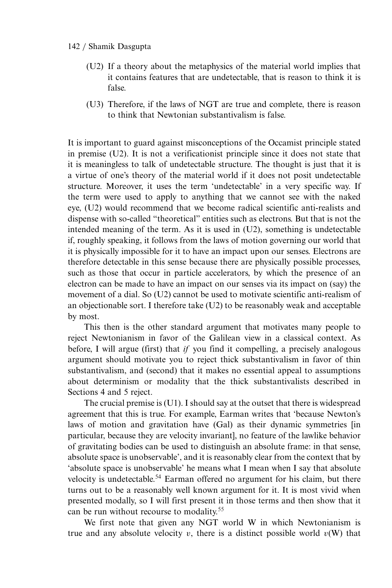- (U2) If a theory about the metaphysics of the material world implies that it contains features that are undetectable, that is reason to think it is false.
- (U3) Therefore, if the laws of NGT are true and complete, there is reason to think that Newtonian substantivalism is false.

It is important to guard against misconceptions of the Occamist principle stated in premise (U2). It is not a verificationist principle since it does not state that it is meaningless to talk of undetectable structure. The thought is just that it is a virtue of one's theory of the material world if it does not posit undetectable structure. Moreover, it uses the term 'undetectable' in a very specific way. If the term were used to apply to anything that we cannot see with the naked eye, (U2) would recommend that we become radical scientific anti-realists and dispense with so-called "theoretical" entities such as electrons. But that is not the intended meaning of the term. As it is used in (U2), something is undetectable if, roughly speaking, it follows from the laws of motion governing our world that it is physically impossible for it to have an impact upon our senses. Electrons are therefore detectable in this sense because there are physically possible processes, such as those that occur in particle accelerators, by which the presence of an electron can be made to have an impact on our senses via its impact on (say) the movement of a dial. So (U2) cannot be used to motivate scientific anti-realism of an objectionable sort. I therefore take  $(U2)$  to be reasonably weak and acceptable by most.

This then is the other standard argument that motivates many people to reject Newtonianism in favor of the Galilean view in a classical context. As before, I will argue (first) that *if* you find it compelling, a precisely analogous argument should motivate you to reject thick substantivalism in favor of thin substantivalism, and (second) that it makes no essential appeal to assumptions about determinism or modality that the thick substantivalists described in Sections 4 and 5 reject.

The crucial premise is (U1). I should say at the outset that there is widespread agreement that this is true. For example, Earman writes that 'because Newton's laws of motion and gravitation have (Gal) as their dynamic symmetries [in particular, because they are velocity invariant], no feature of the lawlike behavior of gravitating bodies can be used to distinguish an absolute frame: in that sense, absolute space is unobservable', and it is reasonably clear from the context that by 'absolute space is unobservable' he means what I mean when I say that absolute velocity is undetectable.<sup>54</sup> Earman offered no argument for his claim, but there turns out to be a reasonably well known argument for it. It is most vivid when presented modally, so I will first present it in those terms and then show that it can be run without recourse to modality.<sup>55</sup>

We first note that given any NGT world W in which Newtonianism is true and any absolute velocity v, there is a distinct possible world  $v(W)$  that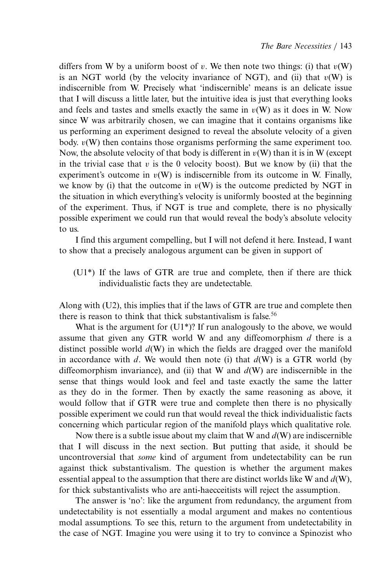differs from W by a uniform boost of v. We then note two things: (i) that  $v(W)$ is an NGT world (by the velocity invariance of NGT), and (ii) that  $v(W)$  is indiscernible from W. Precisely what 'indiscernible' means is an delicate issue that I will discuss a little later, but the intuitive idea is just that everything looks and feels and tastes and smells exactly the same in  $v(W)$  as it does in W. Now since W was arbitrarily chosen, we can imagine that it contains organisms like us performing an experiment designed to reveal the absolute velocity of a given body.  $v(W)$  then contains those organisms performing the same experiment too. Now, the absolute velocity of that body is different in  $v(W)$  than it is in W (except in the trivial case that v is the 0 velocity boost). But we know by (ii) that the experiment's outcome in  $v(W)$  is indiscernible from its outcome in W. Finally, we know by (i) that the outcome in  $v(W)$  is the outcome predicted by NGT in the situation in which everything's velocity is uniformly boosted at the beginning of the experiment. Thus, if NGT is true and complete, there is no physically possible experiment we could run that would reveal the body's absolute velocity to us.

I find this argument compelling, but I will not defend it here. Instead, I want to show that a precisely analogous argument can be given in support of

 $(U1*)$  If the laws of GTR are true and complete, then if there are thick individualistic facts they are undetectable.

Along with (U2), this implies that if the laws of GTR are true and complete then there is reason to think that thick substantivalism is false.<sup>56</sup>

What is the argument for  $(U1^*)$ ? If run analogously to the above, we would assume that given any GTR world W and any diffeomorphism *d* there is a distinct possible world *d*(W) in which the fields are dragged over the manifold in accordance with *d*. We would then note (i) that  $d(W)$  is a GTR world (by diffeomorphism invariance), and (ii) that W and *d*(W) are indiscernible in the sense that things would look and feel and taste exactly the same the latter as they do in the former. Then by exactly the same reasoning as above, it would follow that if GTR were true and complete then there is no physically possible experiment we could run that would reveal the thick individualistic facts concerning which particular region of the manifold plays which qualitative role.

Now there is a subtle issue about my claim that W and *d*(W) are indiscernible that I will discuss in the next section. But putting that aside, it should be uncontroversial that *some* kind of argument from undetectability can be run against thick substantivalism. The question is whether the argument makes essential appeal to the assumption that there are distinct worlds like W and *d*(W), for thick substantivalists who are anti-haecceitists will reject the assumption.

The answer is 'no': like the argument from redundancy, the argument from undetectability is not essentially a modal argument and makes no contentious modal assumptions. To see this, return to the argument from undetectability in the case of NGT. Imagine you were using it to try to convince a Spinozist who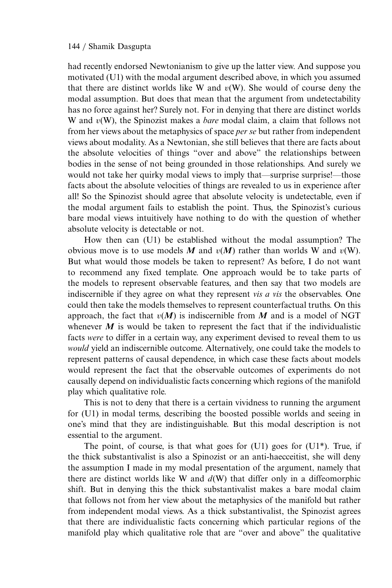had recently endorsed Newtonianism to give up the latter view. And suppose you motivated (U1) with the modal argument described above, in which you assumed that there are distinct worlds like W and  $v(W)$ . She would of course deny the modal assumption. But does that mean that the argument from undetectability has no force against her? Surely not. For in denying that there are distinct worlds W and v(W), the Spinozist makes a *bare* modal claim, a claim that follows not from her views about the metaphysics of space *per se* but rather from independent views about modality. As a Newtonian, she still believes that there are facts about the absolute velocities of things "over and above" the relationships between bodies in the sense of not being grounded in those relationships. And surely we would not take her quirky modal views to imply that—surprise surprise!—those facts about the absolute velocities of things are revealed to us in experience after all! So the Spinozist should agree that absolute velocity is undetectable, even if the modal argument fails to establish the point. Thus, the Spinozist's curious bare modal views intuitively have nothing to do with the question of whether absolute velocity is detectable or not.

How then can (U1) be established without the modal assumption? The obvious move is to use models M and  $v(M)$  rather than worlds W and  $v(W)$ . But what would those models be taken to represent? As before, I do not want to recommend any fixed template. One approach would be to take parts of the models to represent observable features, and then say that two models are indiscernible if they agree on what they represent *vis a vis* the observables. One could then take the models themselves to represent counterfactual truths. On this approach, the fact that  $v(M)$  is indiscernible from M and is a model of NGT whenever  $M$  is would be taken to represent the fact that if the individualistic facts *were* to differ in a certain way, any experiment devised to reveal them to us *would* yield an indiscernible outcome. Alternatively, one could take the models to represent patterns of causal dependence, in which case these facts about models would represent the fact that the observable outcomes of experiments do not causally depend on individualistic facts concerning which regions of the manifold play which qualitative role.

This is not to deny that there is a certain vividness to running the argument for (U1) in modal terms, describing the boosted possible worlds and seeing in one's mind that they are indistinguishable. But this modal description is not essential to the argument.

The point, of course, is that what goes for  $(U1)$  goes for  $(U1^*)$ . True, if the thick substantivalist is also a Spinozist or an anti-haecceitist, she will deny the assumption I made in my modal presentation of the argument, namely that there are distinct worlds like W and  $d(W)$  that differ only in a diffeomorphic shift. But in denying this the thick substantivalist makes a bare modal claim that follows not from her view about the metaphysics of the manifold but rather from independent modal views. As a thick substantivalist, the Spinozist agrees that there are individualistic facts concerning which particular regions of the manifold play which qualitative role that are "over and above" the qualitative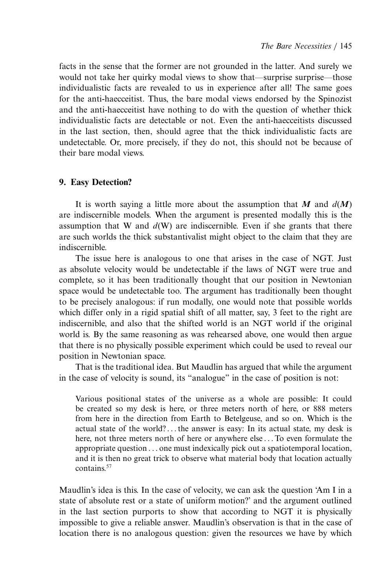facts in the sense that the former are not grounded in the latter. And surely we would not take her quirky modal views to show that—surprise surprise—those individualistic facts are revealed to us in experience after all! The same goes for the anti-haecceitist. Thus, the bare modal views endorsed by the Spinozist and the anti-haecceitist have nothing to do with the question of whether thick individualistic facts are detectable or not. Even the anti-haecceitists discussed in the last section, then, should agree that the thick individualistic facts are undetectable. Or, more precisely, if they do not, this should not be because of their bare modal views.

# **9. Easy Detection?**

It is worth saying a little more about the assumption that  $M$  and  $d(M)$ are indiscernible models. When the argument is presented modally this is the assumption that W and  $d(W)$  are indiscernible. Even if she grants that there are such worlds the thick substantivalist might object to the claim that they are indiscernible.

The issue here is analogous to one that arises in the case of NGT. Just as absolute velocity would be undetectable if the laws of NGT were true and complete, so it has been traditionally thought that our position in Newtonian space would be undetectable too. The argument has traditionally been thought to be precisely analogous: if run modally, one would note that possible worlds which differ only in a rigid spatial shift of all matter, say, 3 feet to the right are indiscernible, and also that the shifted world is an NGT world if the original world is. By the same reasoning as was rehearsed above, one would then argue that there is no physically possible experiment which could be used to reveal our position in Newtonian space.

That is the traditional idea. But Maudlin has argued that while the argument in the case of velocity is sound, its "analogue" in the case of position is not:

Various positional states of the universe as a whole are possible: It could be created so my desk is here, or three meters north of here, or 888 meters from here in the direction from Earth to Betelgeuse, and so on. Which is the actual state of the world?... the answer is easy: In its actual state, my desk is here, not three meters north of here or anywhere else ...To even formulate the appropriate question ... one must indexically pick out a spatiotemporal location, and it is then no great trick to observe what material body that location actually contains.57

Maudlin's idea is this. In the case of velocity, we can ask the question 'Am I in a state of absolute rest or a state of uniform motion?' and the argument outlined in the last section purports to show that according to NGT it is physically impossible to give a reliable answer. Maudlin's observation is that in the case of location there is no analogous question: given the resources we have by which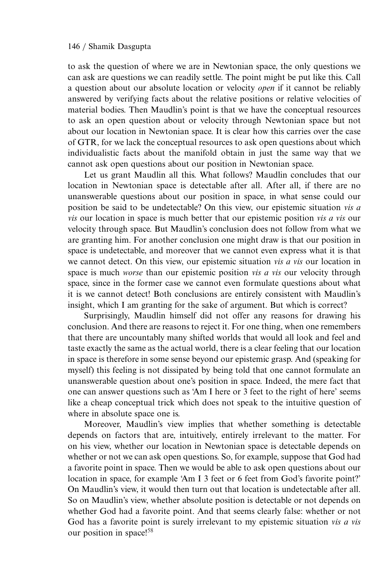to ask the question of where we are in Newtonian space, the only questions we can ask are questions we can readily settle. The point might be put like this. Call a question about our absolute location or velocity *open* if it cannot be reliably answered by verifying facts about the relative positions or relative velocities of material bodies. Then Maudlin's point is that we have the conceptual resources to ask an open question about or velocity through Newtonian space but not about our location in Newtonian space. It is clear how this carries over the case of GTR, for we lack the conceptual resources to ask open questions about which individualistic facts about the manifold obtain in just the same way that we cannot ask open questions about our position in Newtonian space.

Let us grant Maudlin all this. What follows? Maudlin concludes that our location in Newtonian space is detectable after all. After all, if there are no unanswerable questions about our position in space, in what sense could our position be said to be undetectable? On this view, our epistemic situation *vis a vis* our location in space is much better that our epistemic position *vis a vis* our velocity through space. But Maudlin's conclusion does not follow from what we are granting him. For another conclusion one might draw is that our position in space is undetectable, and moreover that we cannot even express what it is that we cannot detect. On this view, our epistemic situation *vis a vis* our location in space is much *worse* than our epistemic position *vis a vis* our velocity through space, since in the former case we cannot even formulate questions about what it is we cannot detect! Both conclusions are entirely consistent with Maudlin's insight, which I am granting for the sake of argument. But which is correct?

Surprisingly, Maudlin himself did not offer any reasons for drawing his conclusion. And there are reasons to reject it. For one thing, when one remembers that there are uncountably many shifted worlds that would all look and feel and taste exactly the same as the actual world, there is a clear feeling that our location in space is therefore in some sense beyond our epistemic grasp. And (speaking for myself) this feeling is not dissipated by being told that one cannot formulate an unanswerable question about one's position in space. Indeed, the mere fact that one can answer questions such as 'Am I here or 3 feet to the right of here' seems like a cheap conceptual trick which does not speak to the intuitive question of where in absolute space one is.

Moreover, Maudlin's view implies that whether something is detectable depends on factors that are, intuitively, entirely irrelevant to the matter. For on his view, whether our location in Newtonian space is detectable depends on whether or not we can ask open questions. So, for example, suppose that God had a favorite point in space. Then we would be able to ask open questions about our location in space, for example 'Am I 3 feet or 6 feet from God's favorite point?' On Maudlin's view, it would then turn out that location is undetectable after all. So on Maudlin's view, whether absolute position is detectable or not depends on whether God had a favorite point. And that seems clearly false: whether or not God has a favorite point is surely irrelevant to my epistemic situation *vis a vis* our position in space!<sup>58</sup>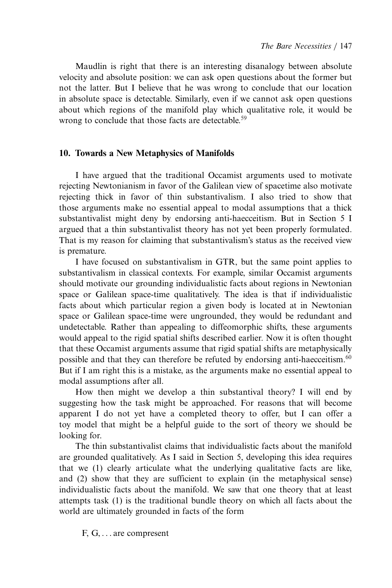Maudlin is right that there is an interesting disanalogy between absolute velocity and absolute position: we can ask open questions about the former but not the latter. But I believe that he was wrong to conclude that our location in absolute space is detectable. Similarly, even if we cannot ask open questions about which regions of the manifold play which qualitative role, it would be wrong to conclude that those facts are detectable.<sup>59</sup>

# **10. Towards a New Metaphysics of Manifolds**

I have argued that the traditional Occamist arguments used to motivate rejecting Newtonianism in favor of the Galilean view of spacetime also motivate rejecting thick in favor of thin substantivalism. I also tried to show that those arguments make no essential appeal to modal assumptions that a thick substantivalist might deny by endorsing anti-haecceitism. But in Section 5 I argued that a thin substantivalist theory has not yet been properly formulated. That is my reason for claiming that substantivalism's status as the received view is premature.

I have focused on substantivalism in GTR, but the same point applies to substantivalism in classical contexts. For example, similar Occamist arguments should motivate our grounding individualistic facts about regions in Newtonian space or Galilean space-time qualitatively. The idea is that if individualistic facts about which particular region a given body is located at in Newtonian space or Galilean space-time were ungrounded, they would be redundant and undetectable. Rather than appealing to diffeomorphic shifts, these arguments would appeal to the rigid spatial shifts described earlier. Now it is often thought that these Occamist arguments assume that rigid spatial shifts are metaphysically possible and that they can therefore be refuted by endorsing anti-haecceitism.<sup>60</sup> But if I am right this is a mistake, as the arguments make no essential appeal to modal assumptions after all.

How then might we develop a thin substantival theory? I will end by suggesting how the task might be approached. For reasons that will become apparent I do not yet have a completed theory to offer, but I can offer a toy model that might be a helpful guide to the sort of theory we should be looking for.

The thin substantivalist claims that individualistic facts about the manifold are grounded qualitatively. As I said in Section 5, developing this idea requires that we (1) clearly articulate what the underlying qualitative facts are like, and (2) show that they are sufficient to explain (in the metaphysical sense) individualistic facts about the manifold. We saw that one theory that at least attempts task (1) is the traditional bundle theory on which all facts about the world are ultimately grounded in facts of the form

 $F, G, \ldots$  are compresent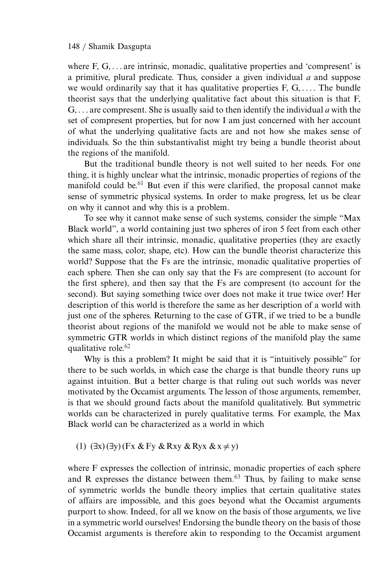where  $F, G, \ldots$  are intrinsic, monadic, qualitative properties and 'compresent' is a primitive, plural predicate. Thus, consider a given individual *a* and suppose we would ordinarily say that it has qualitative properties  $F, G, \ldots$ . The bundle theorist says that the underlying qualitative fact about this situation is that F, G, ... are compresent. She is usually said to then identify the individual *a* with the set of compresent properties, but for now I am just concerned with her account of what the underlying qualitative facts are and not how she makes sense of individuals. So the thin substantivalist might try being a bundle theorist about the regions of the manifold.

But the traditional bundle theory is not well suited to her needs. For one thing, it is highly unclear what the intrinsic, monadic properties of regions of the manifold could be.<sup>61</sup> But even if this were clarified, the proposal cannot make sense of symmetric physical systems. In order to make progress, let us be clear on why it cannot and why this is a problem.

To see why it cannot make sense of such systems, consider the simple "Max Black world", a world containing just two spheres of iron 5 feet from each other which share all their intrinsic, monadic, qualitative properties (they are exactly the same mass, color, shape, etc). How can the bundle theorist characterize this world? Suppose that the Fs are the intrinsic, monadic qualitative properties of each sphere. Then she can only say that the Fs are compresent (to account for the first sphere), and then say that the Fs are compresent (to account for the second). But saying something twice over does not make it true twice over! Her description of this world is therefore the same as her description of a world with just one of the spheres. Returning to the case of GTR, if we tried to be a bundle theorist about regions of the manifold we would not be able to make sense of symmetric GTR worlds in which distinct regions of the manifold play the same qualitative role.<sup>62</sup>

Why is this a problem? It might be said that it is "intuitively possible" for there to be such worlds, in which case the charge is that bundle theory runs up against intuition. But a better charge is that ruling out such worlds was never motivated by the Occamist arguments. The lesson of those arguments, remember, is that we should ground facts about the manifold qualitatively. But symmetric worlds can be characterized in purely qualitative terms. For example, the Max Black world can be characterized as a world in which

(1)  $(\exists x)(\exists y)(Fx & Fy & Rxy & Ryx & x \neq y)$ 

where F expresses the collection of intrinsic, monadic properties of each sphere and R expresses the distance between them.<sup>63</sup> Thus, by failing to make sense of symmetric worlds the bundle theory implies that certain qualitative states of affairs are impossible, and this goes beyond what the Occamist arguments purport to show. Indeed, for all we know on the basis of those arguments, we live in a symmetric world ourselves! Endorsing the bundle theory on the basis of those Occamist arguments is therefore akin to responding to the Occamist argument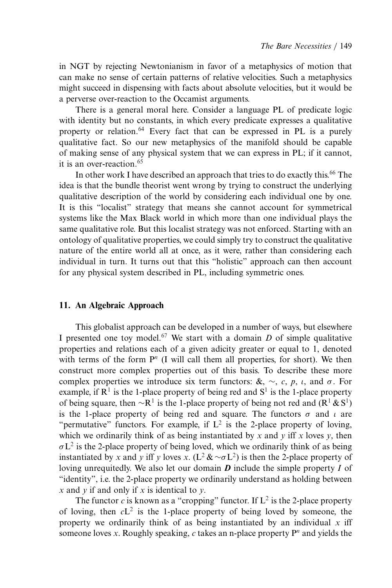in NGT by rejecting Newtonianism in favor of a metaphysics of motion that can make no sense of certain patterns of relative velocities. Such a metaphysics might succeed in dispensing with facts about absolute velocities, but it would be a perverse over-reaction to the Occamist arguments.

There is a general moral here. Consider a language PL of predicate logic with identity but no constants, in which every predicate expresses a qualitative property or relation. $64$  Every fact that can be expressed in PL is a purely qualitative fact. So our new metaphysics of the manifold should be capable of making sense of any physical system that we can express in PL; if it cannot, it is an over-reaction.<sup>65</sup>

In other work I have described an approach that tries to do exactly this.<sup>66</sup> The idea is that the bundle theorist went wrong by trying to construct the underlying qualitative description of the world by considering each individual one by one. It is this "localist" strategy that means she cannot account for symmetrical systems like the Max Black world in which more than one individual plays the same qualitative role. But this localist strategy was not enforced. Starting with an ontology of qualitative properties, we could simply try to construct the qualitative nature of the entire world all at once, as it were, rather than considering each individual in turn. It turns out that this "holistic" approach can then account for any physical system described in PL, including symmetric ones.

# **11. An Algebraic Approach**

This globalist approach can be developed in a number of ways, but elsewhere I presented one toy model.<sup>67</sup> We start with a domain *D* of simple qualitative properties and relations each of a given adicity greater or equal to 1, denoted with terms of the form  $P<sup>n</sup>$  (I will call them all properties, for short). We then construct more complex properties out of this basis. To describe these more complex properties we introduce six term functors:  $\&fty$ ,  $\sim$ , *c*, *p*, *t*, and  $\sigma$ . For example, if  $\mathbb{R}^1$  is the 1-place property of being red and  $\mathbb{S}^1$  is the 1-place property of being square, then  $\sim R^1$  is the 1-place property of being not red and ( $R^1 \& S^1$ ) is the 1-place property of being red and square. The functors  $\sigma$  and  $\iota$  are "permutative" functors. For example, if  $L^2$  is the 2-place property of loving, which we ordinarily think of as being instantiated by x and  $\nu$  iff x loves  $\nu$ , then  $\sigma L^2$  is the 2-place property of being loved, which we ordinarily think of as being instantiated by *x* and *y* iff *y* loves *x*. (L<sup>2</sup> & ∼ $\sigma$ L<sup>2</sup>) is then the 2-place property of loving unrequitedly. We also let our domain *D* include the simple property *I* of "identity", i.e. the 2-place property we ordinarily understand as holding between *x* and *y* if and only if *x* is identical to *y*.

The functor *c* is known as a "cropping" functor. If  $L^2$  is the 2-place property of loving, then  $cL^2$  is the 1-place property of being loved by someone, the property we ordinarily think of as being instantiated by an individual  $x$  iff someone loves *x*. Roughly speaking, *c* takes an n-place property  $P<sup>n</sup>$  and yields the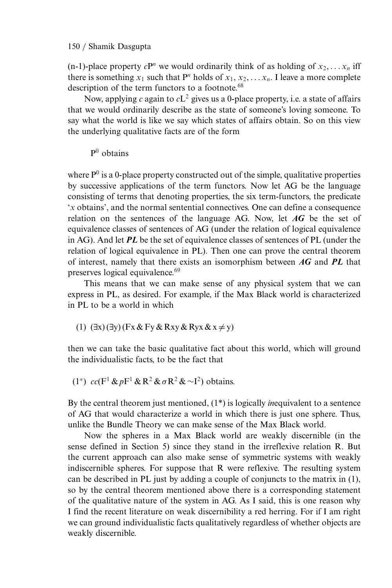$(n-1)$ -place property  $cP^n$  we would ordinarily think of as holding of  $x_2, \ldots, x_n$  iff there is something  $x_1$  such that  $P^n$  holds of  $x_1, x_2, \ldots, x_n$ . I leave a more complete description of the term functors to a footnote.<sup>68</sup>

Now, applying *c* again to  $cL^2$  gives us a 0-place property, i.e. a state of affairs that we would ordinarily describe as the state of someone's loving someone. To say what the world is like we say which states of affairs obtain. So on this view the underlying qualitative facts are of the form

# $P^0$  obtains

where  $P^0$  is a 0-place property constructed out of the simple, qualitative properties by successive applications of the term functors. Now let AG be the language consisting of terms that denoting properties, the six term-functors, the predicate '*x* obtains', and the normal sentential connectives. One can define a consequence relation on the sentences of the language AG. Now, let *AG* be the set of equivalence classes of sentences of AG (under the relation of logical equivalence in AG). And let *PL* be the set of equivalence classes of sentences of PL (under the relation of logical equivalence in PL). Then one can prove the central theorem of interest, namely that there exists an isomorphism between *AG* and *PL* that preserves logical equivalence.<sup>69</sup>

This means that we can make sense of any physical system that we can express in PL, as desired. For example, if the Max Black world is characterized in PL to be a world in which

(1)  $(\exists x)(\exists y)(Fx & Fy & Rxy & Ryx & x \neq y)$ 

then we can take the basic qualitative fact about this world, which will ground the individualistic facts, to be the fact that

(1<sup>∗</sup>) *cc*(F<sup>1</sup> & *p*F<sup>1</sup> & R<sup>2</sup> & σR<sup>2</sup> & ∼I<sup>2</sup>) obtains.

By the central theorem just mentioned, (1\*) is logically *in*equivalent to a sentence of AG that would characterize a world in which there is just one sphere. Thus, unlike the Bundle Theory we can make sense of the Max Black world.

Now the spheres in a Max Black world are weakly discernible (in the sense defined in Section 5) since they stand in the irreflexive relation R. But the current approach can also make sense of symmetric systems with weakly indiscernible spheres. For suppose that R were reflexive. The resulting system can be described in PL just by adding a couple of conjuncts to the matrix in (1), so by the central theorem mentioned above there is a corresponding statement of the qualitative nature of the system in AG. As I said, this is one reason why I find the recent literature on weak discernibility a red herring. For if I am right we can ground individualistic facts qualitatively regardless of whether objects are weakly discernible.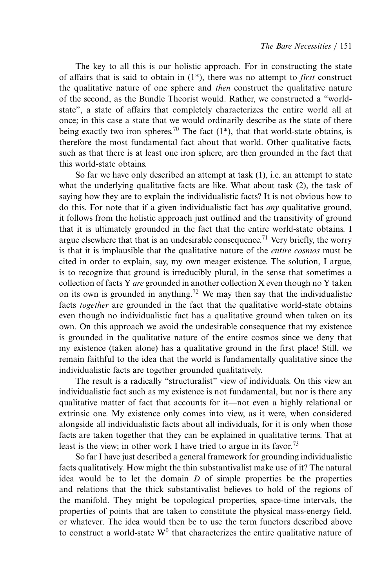The key to all this is our holistic approach. For in constructing the state of affairs that is said to obtain in (1\*), there was no attempt to *first* construct the qualitative nature of one sphere and *then* construct the qualitative nature of the second, as the Bundle Theorist would. Rather, we constructed a "worldstate", a state of affairs that completely characterizes the entire world all at once; in this case a state that we would ordinarily describe as the state of there being exactly two iron spheres.<sup>70</sup> The fact  $(1^*)$ , that that world-state obtains, is therefore the most fundamental fact about that world. Other qualitative facts, such as that there is at least one iron sphere, are then grounded in the fact that this world-state obtains.

So far we have only described an attempt at task (1), i.e. an attempt to state what the underlying qualitative facts are like. What about task (2), the task of saying how they are to explain the individualistic facts? It is not obvious how to do this. For note that if a given individualistic fact has *any* qualitative ground, it follows from the holistic approach just outlined and the transitivity of ground that it is ultimately grounded in the fact that the entire world-state obtains. I argue elsewhere that that is an undesirable consequence.<sup>71</sup> Very briefly, the worry is that it is implausible that the qualitative nature of the *entire cosmos* must be cited in order to explain, say, my own meager existence. The solution, I argue, is to recognize that ground is irreducibly plural, in the sense that sometimes a collection of facts Y *are* grounded in another collection X even though no Y taken on its own is grounded in anything.<sup>72</sup> We may then say that the individualistic facts *together* are grounded in the fact that the qualitative world-state obtains even though no individualistic fact has a qualitative ground when taken on its own. On this approach we avoid the undesirable consequence that my existence is grounded in the qualitative nature of the entire cosmos since we deny that my existence (taken alone) has a qualitative ground in the first place! Still, we remain faithful to the idea that the world is fundamentally qualitative since the individualistic facts are together grounded qualitatively.

The result is a radically "structuralist" view of individuals. On this view an individualistic fact such as my existence is not fundamental, but nor is there any qualitative matter of fact that accounts for it—not even a highly relational or extrinsic one. My existence only comes into view, as it were, when considered alongside all individualistic facts about all individuals, for it is only when those facts are taken together that they can be explained in qualitative terms. That at least is the view; in other work I have tried to argue in its favor.<sup>73</sup>

So far I have just described a general framework for grounding individualistic facts qualitatively. How might the thin substantivalist make use of it? The natural idea would be to let the domain *D* of simple properties be the properties and relations that the thick substantivalist believes to hold of the regions of the manifold. They might be topological properties, space-time intervals, the properties of points that are taken to constitute the physical mass-energy field, or whatever. The idea would then be to use the term functors described above to construct a world-state  $W<sup>0</sup>$  that characterizes the entire qualitative nature of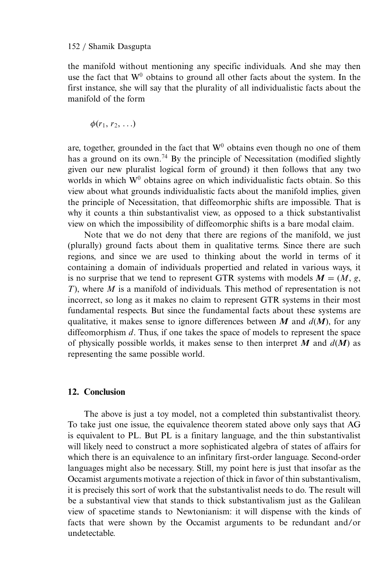the manifold without mentioning any specific individuals. And she may then use the fact that  $W^0$  obtains to ground all other facts about the system. In the first instance, she will say that the plurality of all individualistic facts about the manifold of the form

 $\phi(r_1, r_2, ...)$ 

are, together, grounded in the fact that  $W<sup>0</sup>$  obtains even though no one of them has a ground on its own.<sup>74</sup> By the principle of Necessitation (modified slightly given our new pluralist logical form of ground) it then follows that any two worlds in which  $W^0$  obtains agree on which individualistic facts obtain. So this view about what grounds individualistic facts about the manifold implies, given the principle of Necessitation, that diffeomorphic shifts are impossible. That is why it counts a thin substantivalist view, as opposed to a thick substantivalist view on which the impossibility of diffeomorphic shifts is a bare modal claim.

Note that we do not deny that there are regions of the manifold, we just (plurally) ground facts about them in qualitative terms. Since there are such regions, and since we are used to thinking about the world in terms of it containing a domain of individuals propertied and related in various ways, it is no surprise that we tend to represent GTR systems with models  $M = (M, g, g)$ *T*), where *M* is a manifold of individuals. This method of representation is not incorrect, so long as it makes no claim to represent GTR systems in their most fundamental respects. But since the fundamental facts about these systems are qualitative, it makes sense to ignore differences between  $M$  and  $d(M)$ , for any diffeomorphism *d*. Thus, if one takes the space of models to represent the space of physically possible worlds, it makes sense to then interpret  $M$  and  $d(M)$  as representing the same possible world.

# **12. Conclusion**

The above is just a toy model, not a completed thin substantivalist theory. To take just one issue, the equivalence theorem stated above only says that AG is equivalent to PL. But PL is a finitary language, and the thin substantivalist will likely need to construct a more sophisticated algebra of states of affairs for which there is an equivalence to an infinitary first-order language. Second-order languages might also be necessary. Still, my point here is just that insofar as the Occamist arguments motivate a rejection of thick in favor of thin substantivalism, it is precisely this sort of work that the substantivalist needs to do. The result will be a substantival view that stands to thick substantivalism just as the Galilean view of spacetime stands to Newtonianism: it will dispense with the kinds of facts that were shown by the Occamist arguments to be redundant and/or undetectable.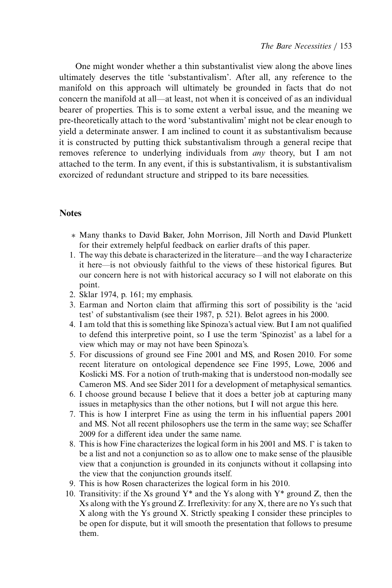One might wonder whether a thin substantivalist view along the above lines ultimately deserves the title 'substantivalism'. After all, any reference to the manifold on this approach will ultimately be grounded in facts that do not concern the manifold at all—at least, not when it is conceived of as an individual bearer of properties. This is to some extent a verbal issue, and the meaning we pre-theoretically attach to the word 'substantivalim' might not be clear enough to yield a determinate answer. I am inclined to count it as substantivalism because it is constructed by putting thick substantivalism through a general recipe that removes reference to underlying individuals from *any* theory, but I am not attached to the term. In any event, if this is substantivalism, it is substantivalism exorcized of redundant structure and stripped to its bare necessities.

# **Notes**

- ∗ Many thanks to David Baker, John Morrison, Jill North and David Plunkett for their extremely helpful feedback on earlier drafts of this paper.
- 1. The way this debate is characterized in the literature—and the way I characterize it here—is not obviously faithful to the views of these historical figures. But our concern here is not with historical accuracy so I will not elaborate on this point.
- 2. Sklar 1974, p. 161; my emphasis.
- 3. Earman and Norton claim that affirming this sort of possibility is the 'acid test' of substantivalism (see their 1987, p. 521). Belot agrees in his 2000.
- 4. I am told that this is something like Spinoza's actual view. But I am not qualified to defend this interpretive point, so I use the term 'Spinozist' as a label for a view which may or may not have been Spinoza's.
- 5. For discussions of ground see Fine 2001 and MS, and Rosen 2010. For some recent literature on ontological dependence see Fine 1995, Lowe, 2006 and Koslicki MS. For a notion of truth-making that is understood non-modally see Cameron MS. And see Sider 2011 for a development of metaphysical semantics.
- 6. I choose ground because I believe that it does a better job at capturing many issues in metaphysics than the other notions, but I will not argue this here.
- 7. This is how I interpret Fine as using the term in his influential papers 2001 and MS. Not all recent philosophers use the term in the same way; see Schaffer 2009 for a different idea under the same name.
- 8. This is how Fine characterizes the logical form in his  $2001$  and MS.  $\Gamma$  is taken to be a list and not a conjunction so as to allow one to make sense of the plausible view that a conjunction is grounded in its conjuncts without it collapsing into the view that the conjunction grounds itself.
- 9. This is how Rosen characterizes the logical form in his 2010.
- 10. Transitivity: if the Xs ground  $Y^*$  and the Ys along with  $Y^*$  ground Z, then the Xs along with the Ys ground Z. Irreflexivity: for any X, there are no Ys such that X along with the Ys ground X. Strictly speaking I consider these principles to be open for dispute, but it will smooth the presentation that follows to presume them.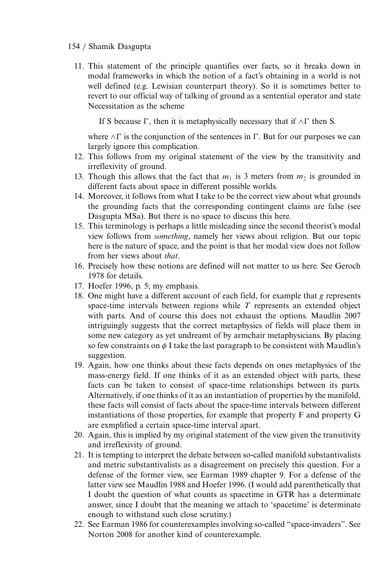11. This statement of the principle quantifies over facts, so it breaks down in modal frameworks in which the notion of a fact's obtaining in a world is not well defined (e.g. Lewisian counterpart theory). So it is sometimes better to revert to our official way of talking of ground as a sentential operator and state Necessitation as the scheme

If S because  $\Gamma$ , then it is metaphysically necessary that if  $\wedge \Gamma$  then S.

where  $\wedge \Gamma$  is the conjunction of the sentences in  $\Gamma$ . But for our purposes we can largely ignore this complication.

- 12. This follows from my original statement of the view by the transitivity and irreflexivity of ground.
- 13. Though this allows that the fact that  $m_1$  is 3 meters from  $m_2$  is grounded in different facts about space in different possible worlds.
- 14. Moreover, it follows from what I take to be the correct view about what grounds the grounding facts that the corresponding contingent claims are false (see Dasgupta MSa). But there is no space to discuss this here.
- 15. This terminology is perhaps a little misleading since the second theorist's modal view follows from *something*, namely her views about religion. But our topic here is the nature of space, and the point is that her modal view does not follow from her views about *that*.
- 16. Precisely how these notions are defined will not matter to us here. See Geroch 1978 for details.
- 17. Hoefer 1996, p. 5; my emphasis.
- 18. One might have a different account of each field, for example that *g* represents space-time intervals between regions while *T* represents an extended object with parts. And of course this does not exhaust the options. Maudlin 2007 intriguingly suggests that the correct metaphysics of fields will place them in some new category as yet undreamt of by armchair metaphysicians. By placing so few constraints on  $\phi$  I take the last paragraph to be consistent with Maudlin's suggestion.
- 19. Again, how one thinks about these facts depends on ones metaphysics of the mass-energy field. If one thinks of it as an extended object with parts, these facts can be taken to consist of space-time relationships between its parts. Alternatively, if one thinks of it as an instantiation of properties by the manifold, these facts will consist of facts about the space-time intervals between different instantiations of those properties, for example that property F and property G are exmplified a certain space-time interval apart.
- 20. Again, this is implied by my original statement of the view given the transitivity and irreflexivity of ground.
- 21. It is tempting to interpret the debate between so-called manifold substantivalists and metric substantivalists as a disagreement on precisely this question. For a defense of the former view, see Earman 1989 chapter 9. For a defense of the latter view see Maudlin 1988 and Hoefer 1996. (I would add parenthetically that I doubt the question of what counts as spacetime in GTR has a determinate answer, since I doubt that the meaning we attach to 'spacetime' is determinate enough to withstand such close scrutiny.)
- 22. See Earman 1986 for counterexamples involving so-called "space-invaders". See Norton 2008 for another kind of counterexample.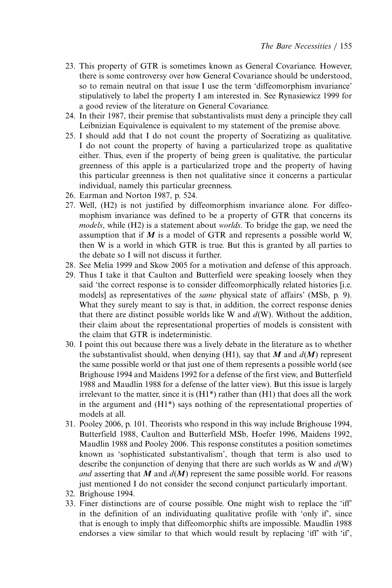- 23. This property of GTR is sometimes known as General Covariance. However, there is some controversy over how General Covariance should be understood, so to remain neutral on that issue I use the term 'diffeomorphism invariance' stipulatively to label the property I am interested in. See Rynasiewicz 1999 for a good review of the literature on General Covariance.
- 24. In their 1987, their premise that substantivalists must deny a principle they call Leibnizian Equivalence is equivalent to my statement of the premise above.
- 25. I should add that I do not count the property of Socratizing as qualitative. I do not count the property of having a particularized trope as qualitative either. Thus, even if the property of being green is qualitative, the particular greenness of this apple is a particularized trope and the property of having this particular greenness is then not qualitative since it concerns a particular individual, namely this particular greenness.
- 26. Earman and Norton 1987, p. 524.
- 27. Well, (H2) is not justified by diffeomorphism invariance alone. For diffeomophism invariance was defined to be a property of GTR that concerns its *models*, while (H2) is a statement about *worlds*. To bridge the gap, we need the assumption that if  $M$  is a model of GTR and represents a possible world W, then W is a world in which GTR is true. But this is granted by all parties to the debate so I will not discuss it further.
- 28. See Melia 1999 and Skow 2005 for a motivation and defense of this approach.
- 29. Thus I take it that Caulton and Butterfield were speaking loosely when they said 'the correct response is to consider diffeomorphically related histories [i.e. models] as representatives of the *same* physical state of affairs' (MSb, p. 9). What they surely meant to say is that, in addition, the correct response denies that there are distinct possible worlds like W and  $d(W)$ . Without the addition, their claim about the representational properties of models is consistent with the claim that GTR is indeterministic.
- 30. I point this out because there was a lively debate in the literature as to whether the substantivalist should, when denying (H1), say that  $M$  and  $d(M)$  represent the same possible world or that just one of them represents a possible world (see Brighouse 1994 and Maidens 1992 for a defense of the first view, and Butterfield 1988 and Maudlin 1988 for a defense of the latter view). But this issue is largely irrelevant to the matter, since it is (H1\*) rather than (H1) that does all the work in the argument and (H1\*) says nothing of the representational properties of models at all.
- 31. Pooley 2006, p. 101. Theorists who respond in this way include Brighouse 1994, Butterfield 1988, Caulton and Butterfield MSb, Hoefer 1996, Maidens 1992, Maudlin 1988 and Pooley 2006. This response constitutes a position sometimes known as 'sophisticated substantivalism', though that term is also used to describe the conjunction of denying that there are such worlds as W and *d*(W) *and* asserting that  $M$  and  $d(M)$  represent the same possible world. For reasons just mentioned I do not consider the second conjunct particularly important.
- 32. Brighouse 1994.
- 33. Finer distinctions are of course possible. One might wish to replace the 'iff' in the definition of an individuating qualitative profile with 'only if', since that is enough to imply that diffeomorphic shifts are impossible. Maudlin 1988 endorses a view similar to that which would result by replacing 'iff' with 'if',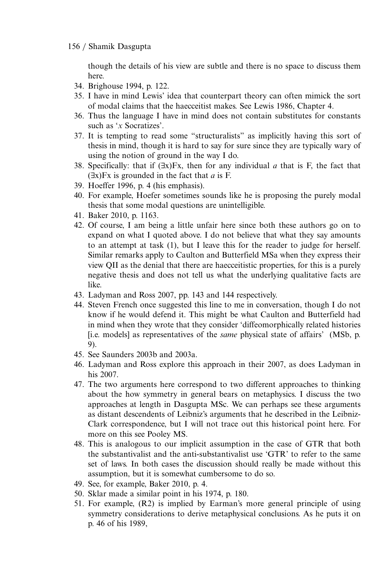though the details of his view are subtle and there is no space to discuss them here.

- 34. Brighouse 1994, p. 122.
- 35. I have in mind Lewis' idea that counterpart theory can often mimick the sort of modal claims that the haecceitist makes. See Lewis 1986, Chapter 4.
- 36. Thus the language I have in mind does not contain substitutes for constants such as '*x* Socratizes'.
- 37. It is tempting to read some "structuralists" as implicitly having this sort of thesis in mind, though it is hard to say for sure since they are typically wary of using the notion of ground in the way I do.
- 38. Specifically: that if (∃x)Fx, then for any individual *a* that is F, the fact that (∃x)Fx is grounded in the fact that *a* is F.
- 39. Hoeffer 1996, p. 4 (his emphasis).
- 40. For example, Hoefer sometimes sounds like he is proposing the purely modal thesis that some modal questions are unintelligible.
- 41. Baker 2010, p. 1163.
- 42. Of course, I am being a little unfair here since both these authors go on to expand on what I quoted above. I do not believe that what they say amounts to an attempt at task (1), but I leave this for the reader to judge for herself. Similar remarks apply to Caulton and Butterfield MSa when they express their view QII as the denial that there are haecceitistic properties, for this is a purely negative thesis and does not tell us what the underlying qualitative facts are like.
- 43. Ladyman and Ross 2007, pp. 143 and 144 respectively.
- 44. Steven French once suggested this line to me in conversation, though I do not know if he would defend it. This might be what Caulton and Butterfield had in mind when they wrote that they consider 'diffeomorphically related histories [i.e. models] as representatives of the *same* physical state of affairs' (MSb, p. 9).
- 45. See Saunders 2003b and 2003a.
- 46. Ladyman and Ross explore this approach in their 2007, as does Ladyman in his 2007.
- 47. The two arguments here correspond to two different approaches to thinking about the how symmetry in general bears on metaphysics. I discuss the two approaches at length in Dasgupta MSc. We can perhaps see these arguments as distant descendents of Leibniz's arguments that he described in the Leibniz-Clark correspondence, but I will not trace out this historical point here. For more on this see Pooley MS.
- 48. This is analogous to our implicit assumption in the case of GTR that both the substantivalist and the anti-substantivalist use 'GTR' to refer to the same set of laws. In both cases the discussion should really be made without this assumption, but it is somewhat cumbersome to do so.
- 49. See, for example, Baker 2010, p. 4.
- 50. Sklar made a similar point in his 1974, p. 180.
- 51. For example, (R2) is implied by Earman's more general principle of using symmetry considerations to derive metaphysical conclusions. As he puts it on p. 46 of his 1989,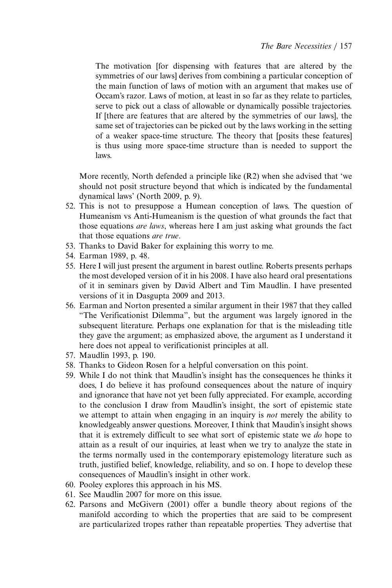The motivation [for dispensing with features that are altered by the symmetries of our laws] derives from combining a particular conception of the main function of laws of motion with an argument that makes use of Occam's razor. Laws of motion, at least in so far as they relate to particles, serve to pick out a class of allowable or dynamically possible trajectories. If [there are features that are altered by the symmetries of our laws], the same set of trajectories can be picked out by the laws working in the setting of a weaker space-time structure. The theory that [posits these features] is thus using more space-time structure than is needed to support the laws.

More recently, North defended a principle like (R2) when she advised that 'we should not posit structure beyond that which is indicated by the fundamental dynamical laws' (North 2009, p. 9).

- 52. This is not to presuppose a Humean conception of laws. The question of Humeanism vs Anti-Humeanism is the question of what grounds the fact that those equations *are laws*, whereas here I am just asking what grounds the fact that those equations *are true*.
- 53. Thanks to David Baker for explaining this worry to me.
- 54. Earman 1989, p. 48.
- 55. Here I will just present the argument in barest outline. Roberts presents perhaps the most developed version of it in his 2008. I have also heard oral presentations of it in seminars given by David Albert and Tim Maudlin. I have presented versions of it in Dasgupta 2009 and 2013.
- 56. Earman and Norton presented a similar argument in their 1987 that they called "The Verificationist Dilemma", but the argument was largely ignored in the subsequent literature. Perhaps one explanation for that is the misleading title they gave the argument; as emphasized above, the argument as I understand it here does not appeal to verificationist principles at all.
- 57. Maudlin 1993, p. 190.
- 58. Thanks to Gideon Rosen for a helpful conversation on this point.
- 59. While I do not think that Maudlin's insight has the consequences he thinks it does, I do believe it has profound consequences about the nature of inquiry and ignorance that have not yet been fully appreciated. For example, according to the conclusion I draw from Maudlin's insight, the sort of epistemic state we attempt to attain when engaging in an inquiry is *not* merely the ability to knowledgeably answer questions. Moreover, I think that Maudin's insight shows that it is extremely difficult to see what sort of epistemic state we *do* hope to attain as a result of our inquiries, at least when we try to analyze the state in the terms normally used in the contemporary epistemology literature such as truth, justified belief, knowledge, reliability, and so on. I hope to develop these consequences of Maudlin's insight in other work.
- 60. Pooley explores this approach in his MS.
- 61. See Maudlin 2007 for more on this issue.
- 62. Parsons and McGivern (2001) offer a bundle theory about regions of the manifold according to which the properties that are said to be compresent are particularized tropes rather than repeatable properties. They advertise that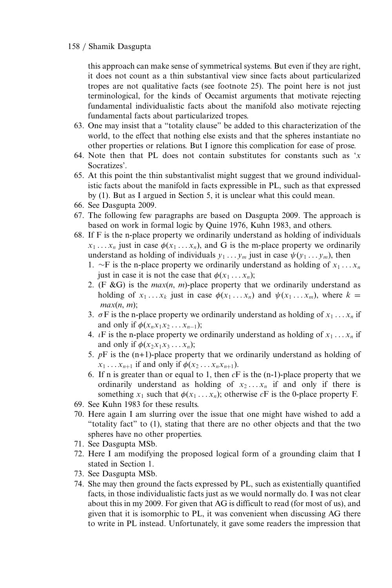this approach can make sense of symmetrical systems. But even if they are right, it does not count as a thin substantival view since facts about particularized tropes are not qualitative facts (see footnote 25). The point here is not just terminological, for the kinds of Occamist arguments that motivate rejecting fundamental individualistic facts about the manifold also motivate rejecting fundamental facts about particularized tropes.

- 63. One may insist that a "totality clause" be added to this characterization of the world, to the effect that nothing else exists and that the spheres instantiate no other properties or relations. But I ignore this complication for ease of prose.
- 64. Note then that PL does not contain substitutes for constants such as '*x* Socratizes'.
- 65. At this point the thin substantivalist might suggest that we ground individualistic facts about the manifold in facts expressible in PL, such as that expressed by (1). But as I argued in Section 5, it is unclear what this could mean.
- 66. See Dasgupta 2009.
- 67. The following few paragraphs are based on Dasgupta 2009. The approach is based on work in formal logic by Quine 1976, Kuhn 1983, and others.
- 68. If F is the n-place property we ordinarily understand as holding of individuals  $x_1 \ldots x_n$  just in case  $\phi(x_1 \ldots x_n)$ , and G is the m-place property we ordinarily understand as holding of individuals  $y_1 \ldots y_m$  just in case  $\psi(y_1 \ldots y_m)$ , then
	- 1. ∼F is the n-place property we ordinarily understand as holding of *x*<sup>1</sup> ... *xn* just in case it is not the case that  $\phi(x_1 \dots x_n)$ ;
	- 2. (F &G) is the *max*(*n*, *m*)-place property that we ordinarily understand as holding of  $x_1 \ldots x_k$  just in case  $\phi(x_1 \ldots x_n)$  and  $\psi(x_1 \ldots x_m)$ , where  $k =$ *max*(*n*, *m*);
	- 3.  $\sigma$ F is the n-place property we ordinarily understand as holding of  $x_1 \ldots x_n$  if and only if  $\phi(x_n x_1 x_2 \ldots x_{n-1});$
	- 4. *i*F is the n-place property we ordinarily understand as holding of  $x_1 \ldots x_n$  if and only if  $\phi(x_2x_1x_3 \ldots x_n)$ ;
	- 5.  $pF$  is the  $(n+1)$ -place property that we ordinarily understand as holding of *x*<sub>1</sub> . . . *x*<sub>*n*+1</sub> if and only if  $\phi(x_2 ... x_n x_{n+1})$ .
	- 6. If n is greater than or equal to 1, then  $cF$  is the  $(n-1)$ -place property that we ordinarily understand as holding of  $x_2 \ldots x_n$  if and only if there is something  $x_1$  such that  $\phi(x_1 \dots x_n)$ ; otherwise  $cF$  is the 0-place property F.
- 69. See Kuhn 1983 for these results.
- 70. Here again I am slurring over the issue that one might have wished to add a "totality fact" to (1), stating that there are no other objects and that the two spheres have no other properties.
- 71. See Dasgupta MSb.
- 72. Here I am modifying the proposed logical form of a grounding claim that I stated in Section 1.
- 73. See Dasgupta MSb.
- 74. She may then ground the facts expressed by PL, such as existentially quantified facts, in those individualistic facts just as we would normally do. I was not clear about this in my 2009. For given that AG is difficult to read (for most of us), and given that it is isomorphic to PL, it was convenient when discussing AG there to write in PL instead. Unfortunately, it gave some readers the impression that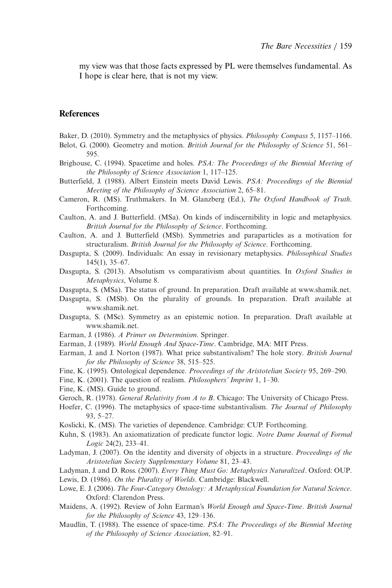my view was that those facts expressed by PL were themselves fundamental. As I hope is clear here, that is not my view.

# **References**

- Baker, D. (2010). Symmetry and the metaphysics of physics. *Philosophy Compass* 5, 1157–1166.
- Belot, G. (2000). Geometry and motion. *British Journal for the Philosophy of Science* 51, 561– 595.
- Brighouse, C. (1994). Spacetime and holes. *PSA: The Proceedings of the Biennial Meeting of the Philosophy of Science Association* 1, 117–125.
- Butterfield, J. (1988). Albert Einstein meets David Lewis. *PSA: Proceedings of the Biennial Meeting of the Philosophy of Science Association* 2, 65–81.
- Cameron, R. (MS). Truthmakers. In M. Glanzberg (Ed.), *The Oxford Handbook of Truth*. Forthcoming.
- Caulton, A. and J. Butterfield. (MSa). On kinds of indiscernibility in logic and metaphysics. *British Journal for the Philosophy of Science*. Forthcoming.
- Caulton, A. and J. Butterfield (MSb). Symmetries and paraparticles as a motivation for structuralism. *British Journal for the Philosophy of Science*. Forthcoming.
- Dasgupta, S. (2009). Individuals: An essay in revisionary metaphysics. *Philosophical Studies* 145(1), 35–67.
- Dasgupta, S. (2013). Absolutism vs comparativism about quantities. In *Oxford Studies in Metaphysics*, Volume 8.
- Dasgupta, S. (MSa). The status of ground. In preparation. Draft available at www.shamik.net.
- Dasgupta, S. (MSb). On the plurality of grounds. In preparation. Draft available at www.shamik.net.
- Dasgupta, S. (MSc). Symmetry as an epistemic notion. In preparation. Draft available at www.shamik.net.
- Earman, J. (1986). *A Primer on Determinism*. Springer.
- Earman, J. (1989). *World Enough And Space-Time*. Cambridge, MA: MIT Press.
- Earman, J. and J. Norton (1987). What price substantivalism? The hole story. *British Journal for the Philosophy of Science* 38, 515–525.
- Fine, K. (1995). Ontological dependence. *Proceedings of the Aristotelian Society* 95, 269–290.
- Fine, K. (2001). The question of realism. *Philosophers' Imprint* 1, 1–30.
- Fine, K. (MS). Guide to ground.
- Geroch, R. (1978). *General Relativity from A to B*. Chicago: The University of Chicago Press.
- Hoefer, C. (1996). The metaphysics of space-time substantivalism. *The Journal of Philosophy* 93, 5–27.
- Koslicki, K. (MS). The varieties of dependence. Cambridge: CUP. Forthcoming.
- Kuhn, S. (1983). An axiomatization of predicate functor logic. *Notre Dame Journal of Formal Logic* 24(2), 233–41.
- Ladyman, J. (2007). On the identity and diversity of objects in a structure. *Proceedings of the Aristotelian Society Supplementary Volume* 81, 23–43.

Ladyman, J. and D. Ross. (2007). *Every Thing Must Go: Metaphysics Naturalized*. Oxford: OUP. Lewis, D. (1986). *On the Plurality of Worlds*. Cambridge: Blackwell.

- Lowe, E. J. (2006). *The Four-Category Ontology: A Metaphysical Foundation for Natural Science*. Oxford: Clarendon Press.
- Maidens, A. (1992). Review of John Earman's *World Enough and Space-Time*. *British Journal for the Philosophy of Science* 43, 129–136.
- Maudlin, T. (1988). The essence of space-time. *PSA: The Proceedings of the Biennial Meeting of the Philosophy of Science Association*, 82–91.